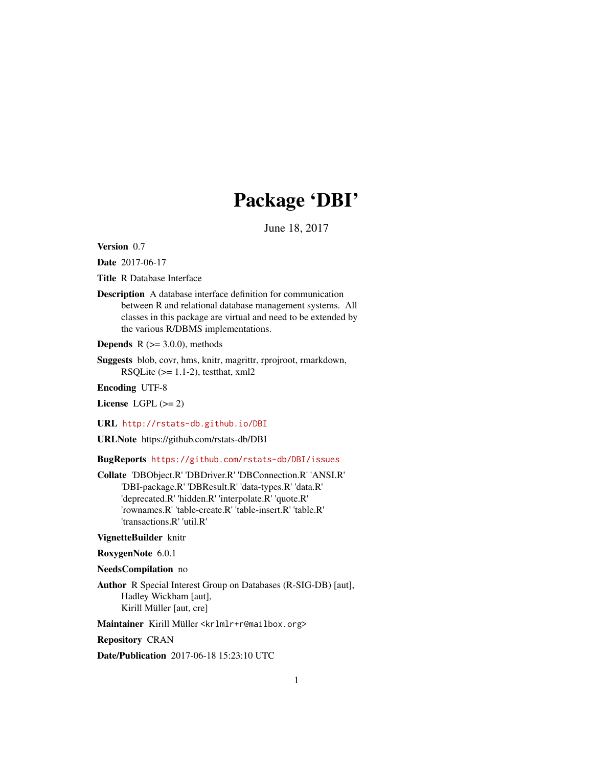# Package 'DBI'

June 18, 2017

<span id="page-0-0"></span>Version 0.7

Date 2017-06-17

Title R Database Interface

Description A database interface definition for communication between R and relational database management systems. All classes in this package are virtual and need to be extended by the various R/DBMS implementations.

**Depends** R  $(>= 3.0.0)$ , methods

Suggests blob, covr, hms, knitr, magrittr, rprojroot, rmarkdown, RSQLite  $(>= 1.1-2)$ , testthat, xml2

Encoding UTF-8

License LGPL  $(>= 2)$ 

URL <http://rstats-db.github.io/DBI>

URLNote https://github.com/rstats-db/DBI

BugReports <https://github.com/rstats-db/DBI/issues>

Collate 'DBObject.R' 'DBDriver.R' 'DBConnection.R' 'ANSI.R' 'DBI-package.R' 'DBResult.R' 'data-types.R' 'data.R' 'deprecated.R' 'hidden.R' 'interpolate.R' 'quote.R' 'rownames.R' 'table-create.R' 'table-insert.R' 'table.R' 'transactions.R' 'util.R'

## VignetteBuilder knitr

RoxygenNote 6.0.1

NeedsCompilation no

Author R Special Interest Group on Databases (R-SIG-DB) [aut], Hadley Wickham [aut], Kirill Müller [aut, cre]

Maintainer Kirill Müller <krlmlr+r@mailbox.org>

Repository CRAN

Date/Publication 2017-06-18 15:23:10 UTC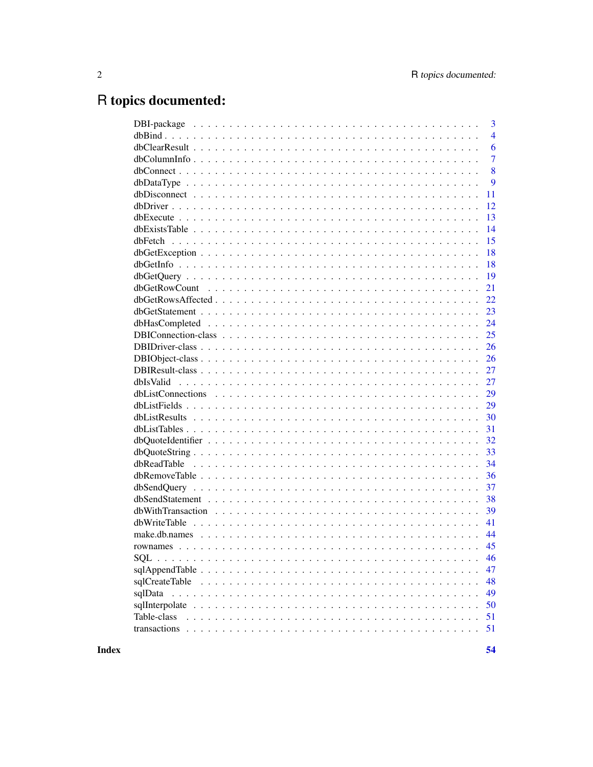# R topics documented:

|                                                                                                            | 3              |
|------------------------------------------------------------------------------------------------------------|----------------|
|                                                                                                            | $\overline{4}$ |
|                                                                                                            | 6              |
|                                                                                                            | $\overline{7}$ |
|                                                                                                            | 8              |
| $dbDataType \ldots \ldots \ldots \ldots \ldots \ldots \ldots \ldots \ldots \ldots \ldots \ldots \ldots$    | 9              |
|                                                                                                            | 11             |
|                                                                                                            | 12             |
|                                                                                                            | 13             |
|                                                                                                            | 14             |
|                                                                                                            | 15             |
|                                                                                                            | 18             |
|                                                                                                            | 18             |
|                                                                                                            | 19             |
|                                                                                                            | 21             |
|                                                                                                            | 22             |
|                                                                                                            | 23             |
|                                                                                                            | 24             |
|                                                                                                            | 25             |
|                                                                                                            | 26             |
|                                                                                                            | 26             |
|                                                                                                            | 27             |
|                                                                                                            | 27             |
|                                                                                                            | 29             |
|                                                                                                            | 29             |
|                                                                                                            | 30             |
|                                                                                                            | 31             |
|                                                                                                            | 32             |
| $dbQuoteString \ldots \ldots \ldots \ldots \ldots \ldots \ldots \ldots \ldots \ldots \ldots \ldots \ldots$ | 33             |
|                                                                                                            | 34             |
|                                                                                                            | 36             |
|                                                                                                            | 37             |
|                                                                                                            | 38             |
|                                                                                                            | 39             |
|                                                                                                            | 41             |
|                                                                                                            | 44             |
|                                                                                                            | 45             |
|                                                                                                            | 46             |
|                                                                                                            | 47             |
|                                                                                                            | 48             |
| sqlData                                                                                                    | 49             |
|                                                                                                            | 50             |
| Table-class                                                                                                | 51             |
|                                                                                                            | 51             |
|                                                                                                            |                |

**Index**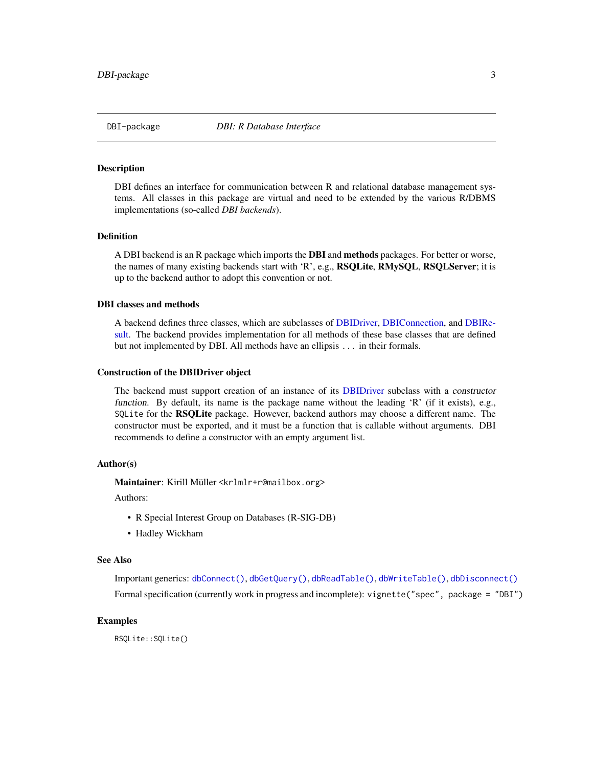<span id="page-2-0"></span>

DBI defines an interface for communication between R and relational database management systems. All classes in this package are virtual and need to be extended by the various R/DBMS implementations (so-called *DBI backends*).

## Definition

A DBI backend is an R package which imports the **DBI** and **methods** packages. For better or worse, the names of many existing backends start with 'R', e.g., RSQLite, RMySQL, RSQLServer; it is up to the backend author to adopt this convention or not.

#### DBI classes and methods

A backend defines three classes, which are subclasses of [DBIDriver,](#page-25-1) [DBIConnection,](#page-24-1) and [DBIRe](#page-26-1)[sult.](#page-26-1) The backend provides implementation for all methods of these base classes that are defined but not implemented by DBI. All methods have an ellipsis ... in their formals.

#### Construction of the DBIDriver object

The backend must support creation of an instance of its [DBIDriver](#page-25-1) subclass with a constructor function. By default, its name is the package name without the leading 'R' (if it exists), e.g., SQLite for the RSQLite package. However, backend authors may choose a different name. The constructor must be exported, and it must be a function that is callable without arguments. DBI recommends to define a constructor with an empty argument list.

## Author(s)

Maintainer: Kirill Müller <krlmlr+r@mailbox.org>

Authors:

- R Special Interest Group on Databases (R-SIG-DB)
- Hadley Wickham

#### See Also

Important generics: [dbConnect\(\)](#page-7-1), [dbGetQuery\(\)](#page-18-1), [dbReadTable\(\)](#page-33-1), [dbWriteTable\(\)](#page-40-1), [dbDisconnect\(\)](#page-10-1) Formal specification (currently work in progress and incomplete): vignette("spec", package = "DBI")

#### Examples

RSQLite::SQLite()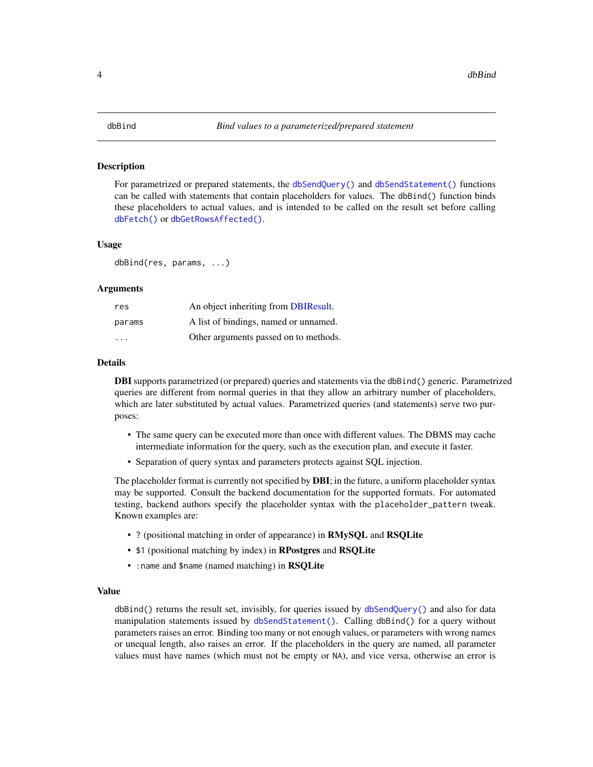<span id="page-3-1"></span><span id="page-3-0"></span>For parametrized or prepared statements, the [dbSendQuery\(\)](#page-36-1) and [dbSendStatement\(\)](#page-37-1) functions can be called with statements that contain placeholders for values. The dbBind() function binds these placeholders to actual values, and is intended to be called on the result set before calling [dbFetch\(\)](#page-14-1) or [dbGetRowsAffected\(\)](#page-21-1).

#### Usage

dbBind(res, params, ...)

#### Arguments

| res                     | An object inheriting from DBIResult.  |
|-------------------------|---------------------------------------|
| params                  | A list of bindings, named or unnamed. |
| $\cdot$ $\cdot$ $\cdot$ | Other arguments passed on to methods. |

#### Details

**DBI** supports parametrized (or prepared) queries and statements via the dbBind() generic. Parametrized queries are different from normal queries in that they allow an arbitrary number of placeholders, which are later substituted by actual values. Parametrized queries (and statements) serve two purposes:

- The same query can be executed more than once with different values. The DBMS may cache intermediate information for the query, such as the execution plan, and execute it faster.
- Separation of query syntax and parameters protects against SQL injection.

The placeholder format is currently not specified by **DBI**; in the future, a uniform placeholder syntax may be supported. Consult the backend documentation for the supported formats. For automated testing, backend authors specify the placeholder syntax with the placeholder\_pattern tweak. Known examples are:

- ? (positional matching in order of appearance) in RMySQL and RSQLite
- \$1 (positional matching by index) in RPostgres and RSQLite
- : name and \$name (named matching) in RSQLite

## Value

dbBind() returns the result set, invisibly, for queries issued by [dbSendQuery\(\)](#page-36-1) and also for data manipulation statements issued by [dbSendStatement\(\)](#page-37-1). Calling dbBind() for a query without parameters raises an error. Binding too many or not enough values, or parameters with wrong names or unequal length, also raises an error. If the placeholders in the query are named, all parameter values must have names (which must not be empty or NA), and vice versa, otherwise an error is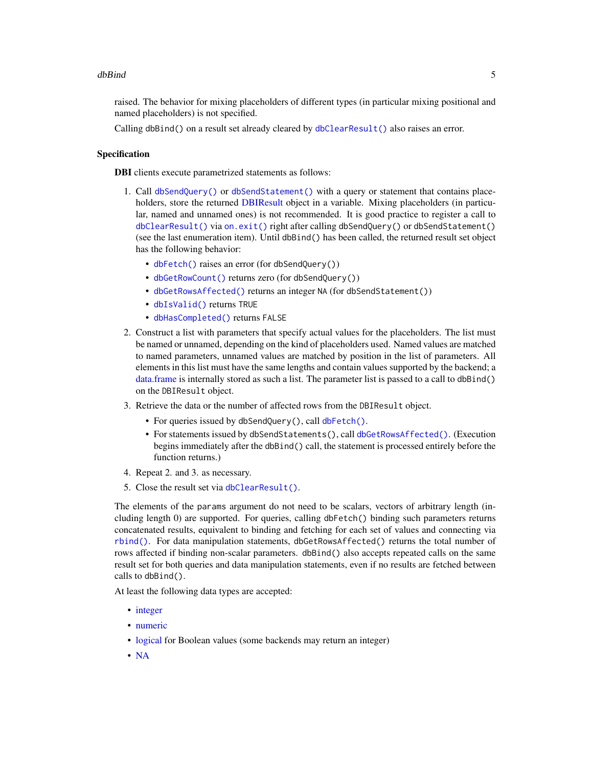## <span id="page-4-0"></span>dbBind 55 and 55 and 55 and 55 and 55 and 55 and 55 and 55 and 55 and 55 and 55 and 55 and 55 and 55 and 55 and 55 and 55 and 55 and 55 and 55 and 55 and 55 and 55 and 55 and 55 and 55 and 55 and 55 and 55 and 55 and 55 an

raised. The behavior for mixing placeholders of different types (in particular mixing positional and named placeholders) is not specified.

Calling dbBind() on a result set already cleared by [dbClearResult\(\)](#page-5-1) also raises an error.

## Specification

DBI clients execute parametrized statements as follows:

- 1. Call [dbSendQuery\(\)](#page-36-1) or [dbSendStatement\(\)](#page-37-1) with a query or statement that contains place-holders, store the returned [DBIResult](#page-26-1) object in a variable. Mixing placeholders (in particular, named and unnamed ones) is not recommended. It is good practice to register a call to [dbClearResult\(\)](#page-5-1) via [on.exit\(\)](#page-0-0) right after calling dbSendQuery() or dbSendStatement() (see the last enumeration item). Until dbBind() has been called, the returned result set object has the following behavior:
	- [dbFetch\(\)](#page-14-1) raises an error (for dbSendQuery())
	- [dbGetRowCount\(\)](#page-20-1) returns zero (for dbSendQuery())
	- [dbGetRowsAffected\(\)](#page-21-1) returns an integer NA (for dbSendStatement())
	- [dbIsValid\(\)](#page-26-2) returns TRUE
	- [dbHasCompleted\(\)](#page-23-1) returns FALSE
- 2. Construct a list with parameters that specify actual values for the placeholders. The list must be named or unnamed, depending on the kind of placeholders used. Named values are matched to named parameters, unnamed values are matched by position in the list of parameters. All elements in this list must have the same lengths and contain values supported by the backend; a [data.frame](#page-0-0) is internally stored as such a list. The parameter list is passed to a call to dbBind() on the DBIResult object.
- 3. Retrieve the data or the number of affected rows from the DBIResult object.
	- For queries issued by dbSendQuery(), call [dbFetch\(\)](#page-14-1).
	- For statements issued by dbSendStatements(), call [dbGetRowsAffected\(\)](#page-21-1). (Execution begins immediately after the dbBind() call, the statement is processed entirely before the function returns.)
- 4. Repeat 2. and 3. as necessary.
- 5. Close the result set via [dbClearResult\(\)](#page-5-1).

The elements of the params argument do not need to be scalars, vectors of arbitrary length (including length 0) are supported. For queries, calling dbFetch() binding such parameters returns concatenated results, equivalent to binding and fetching for each set of values and connecting via [rbind\(\)](#page-0-0). For data manipulation statements, dbGetRowsAffected() returns the total number of rows affected if binding non-scalar parameters. dbBind() also accepts repeated calls on the same result set for both queries and data manipulation statements, even if no results are fetched between calls to dbBind().

At least the following data types are accepted:

- [integer](#page-0-0)
- [numeric](#page-0-0)
- [logical](#page-0-0) for Boolean values (some backends may return an integer)
- [NA](#page-0-0)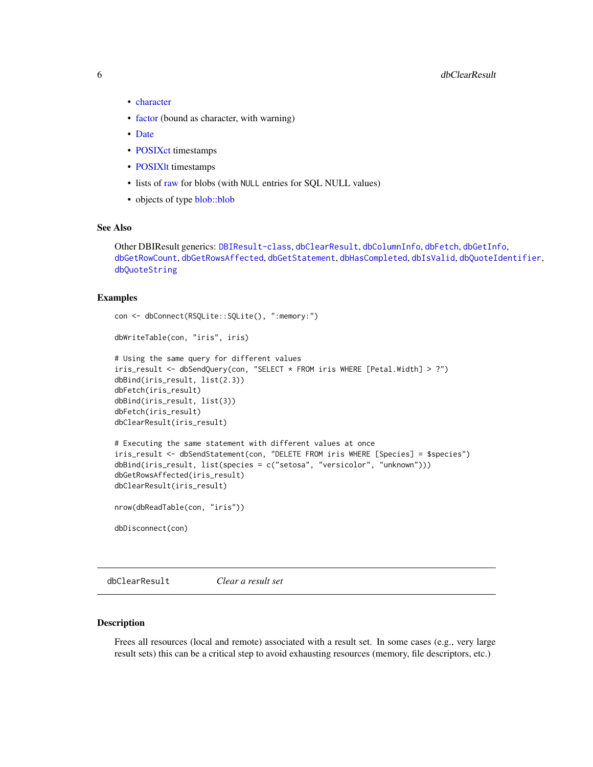## <span id="page-5-0"></span>6 dbClearResult

- [character](#page-0-0)
- [factor](#page-0-0) (bound as character, with warning)
- [Date](#page-0-0)
- [POSIXct](#page-0-0) timestamps
- POSIXIt timestamps
- lists of [raw](#page-0-0) for blobs (with NULL entries for SQL NULL values)
- objects of type [blob::blob](#page-0-0)

## See Also

Other DBIResult generics: [DBIResult-class](#page-26-1), [dbClearResult](#page-5-1), [dbColumnInfo](#page-6-1), [dbFetch](#page-14-1), [dbGetInfo](#page-17-1), [dbGetRowCount](#page-20-1), [dbGetRowsAffected](#page-21-1), [dbGetStatement](#page-22-1), [dbHasCompleted](#page-23-1), [dbIsValid](#page-26-2), [dbQuoteIdentifier](#page-31-1), [dbQuoteString](#page-32-1)

## Examples

```
con <- dbConnect(RSQLite::SQLite(), ":memory:")
dbWriteTable(con, "iris", iris)
# Using the same query for different values
iris_result <- dbSendQuery(con, "SELECT * FROM iris WHERE [Petal.Width] > ?")
dbBind(iris_result, list(2.3))
dbFetch(iris_result)
dbBind(iris_result, list(3))
dbFetch(iris_result)
dbClearResult(iris_result)
# Executing the same statement with different values at once
iris_result <- dbSendStatement(con, "DELETE FROM iris WHERE [Species] = $species")
dbBind(iris_result, list(species = c("setosa", "versicolor", "unknown")))
dbGetRowsAffected(iris_result)
dbClearResult(iris_result)
nrow(dbReadTable(con, "iris"))
dbDisconnect(con)
```
<span id="page-5-1"></span>dbClearResult *Clear a result set*

## Description

Frees all resources (local and remote) associated with a result set. In some cases (e.g., very large result sets) this can be a critical step to avoid exhausting resources (memory, file descriptors, etc.)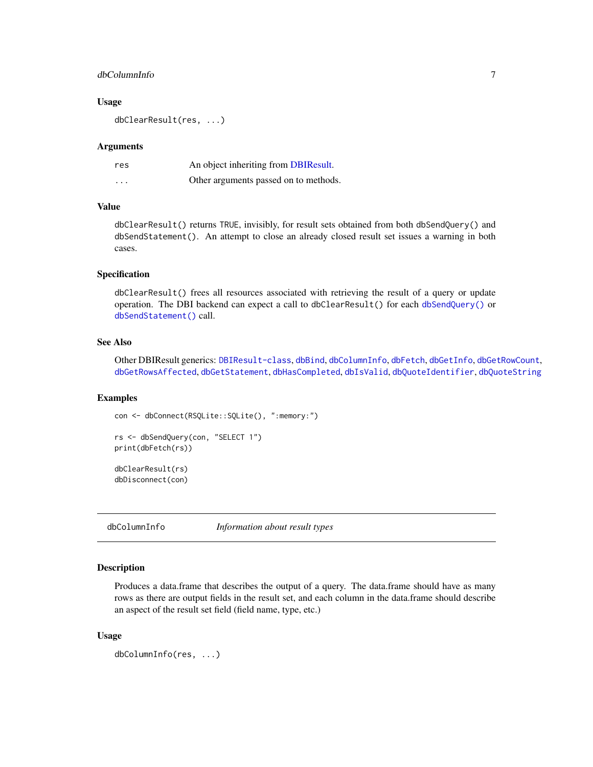## <span id="page-6-0"></span>dbColumnInfo 7

## Usage

dbClearResult(res, ...)

### Arguments

| res      | An object inheriting from DBIResult.  |
|----------|---------------------------------------|
| $\cdots$ | Other arguments passed on to methods. |

### Value

dbClearResult() returns TRUE, invisibly, for result sets obtained from both dbSendQuery() and dbSendStatement(). An attempt to close an already closed result set issues a warning in both cases.

#### Specification

dbClearResult() frees all resources associated with retrieving the result of a query or update operation. The DBI backend can expect a call to dbClearResult() for each [dbSendQuery\(\)](#page-36-1) or [dbSendStatement\(\)](#page-37-1) call.

## See Also

Other DBIResult generics: [DBIResult-class](#page-26-1), [dbBind](#page-3-1), [dbColumnInfo](#page-6-1), [dbFetch](#page-14-1), [dbGetInfo](#page-17-1), [dbGetRowCount](#page-20-1), [dbGetRowsAffected](#page-21-1), [dbGetStatement](#page-22-1), [dbHasCompleted](#page-23-1), [dbIsValid](#page-26-2), [dbQuoteIdentifier](#page-31-1), [dbQuoteString](#page-32-1)

## Examples

```
con <- dbConnect(RSQLite::SQLite(), ":memory:")
rs <- dbSendQuery(con, "SELECT 1")
print(dbFetch(rs))
dbClearResult(rs)
dbDisconnect(con)
```
<span id="page-6-1"></span>dbColumnInfo *Information about result types*

## **Description**

Produces a data.frame that describes the output of a query. The data.frame should have as many rows as there are output fields in the result set, and each column in the data.frame should describe an aspect of the result set field (field name, type, etc.)

## Usage

```
dbColumnInfo(res, ...)
```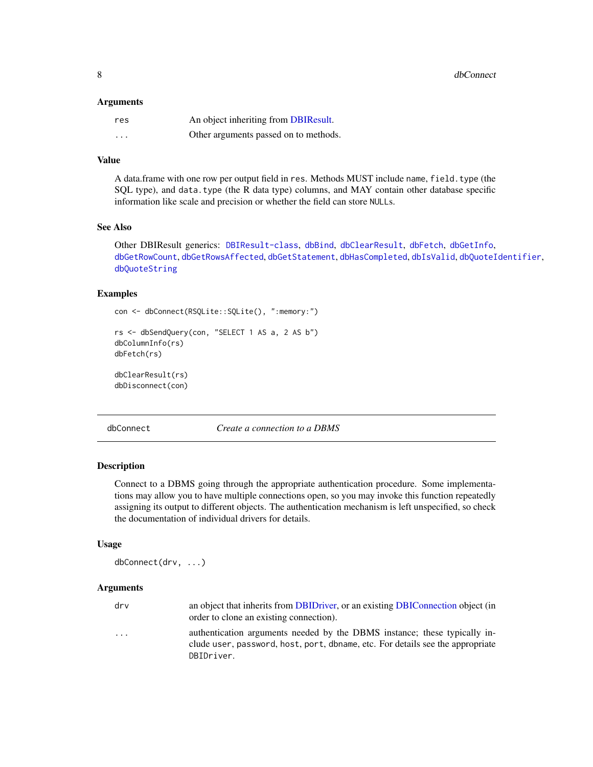<span id="page-7-0"></span>8 dbConnect 2 dbConnect 3 dbConnect 3 dbConnect 3 dbConnect 3 dbConnect 3 dbConnect 3 dbConnect 3 dbConnect 3 dbConnect 3 dbConnect 3 dbConnect 3 dbConnect 3 dbConnect 3 dbConnect 3 dbConnect 3 dbConnect 3 dbConnect 3 dbCo

#### **Arguments**

| res      | An object inheriting from DBIResult.  |
|----------|---------------------------------------|
| $\cdots$ | Other arguments passed on to methods. |

## Value

A data.frame with one row per output field in res. Methods MUST include name, field.type (the SQL type), and data.type (the R data type) columns, and MAY contain other database specific information like scale and precision or whether the field can store NULLs.

#### See Also

Other DBIResult generics: [DBIResult-class](#page-26-1), [dbBind](#page-3-1), [dbClearResult](#page-5-1), [dbFetch](#page-14-1), [dbGetInfo](#page-17-1), [dbGetRowCount](#page-20-1), [dbGetRowsAffected](#page-21-1), [dbGetStatement](#page-22-1), [dbHasCompleted](#page-23-1), [dbIsValid](#page-26-2), [dbQuoteIdentifier](#page-31-1), [dbQuoteString](#page-32-1)

## Examples

```
con <- dbConnect(RSQLite::SQLite(), ":memory:")
```

```
rs <- dbSendQuery(con, "SELECT 1 AS a, 2 AS b")
dbColumnInfo(rs)
dbFetch(rs)
```
dbClearResult(rs) dbDisconnect(con)

<span id="page-7-1"></span>

dbConnect *Create a connection to a DBMS*

## Description

Connect to a DBMS going through the appropriate authentication procedure. Some implementations may allow you to have multiple connections open, so you may invoke this function repeatedly assigning its output to different objects. The authentication mechanism is left unspecified, so check the documentation of individual drivers for details.

## Usage

```
dbConnect(drv, ...)
```

| drv       | an object that inherits from DBIDriver, or an existing DBIConnection object (in<br>order to clone an existing connection).                                                |
|-----------|---------------------------------------------------------------------------------------------------------------------------------------------------------------------------|
| $\ddotsc$ | authentication arguments needed by the DBMS instance; these typically in-<br>clude user, password, host, port, dbname, etc. For details see the appropriate<br>DBIDriver. |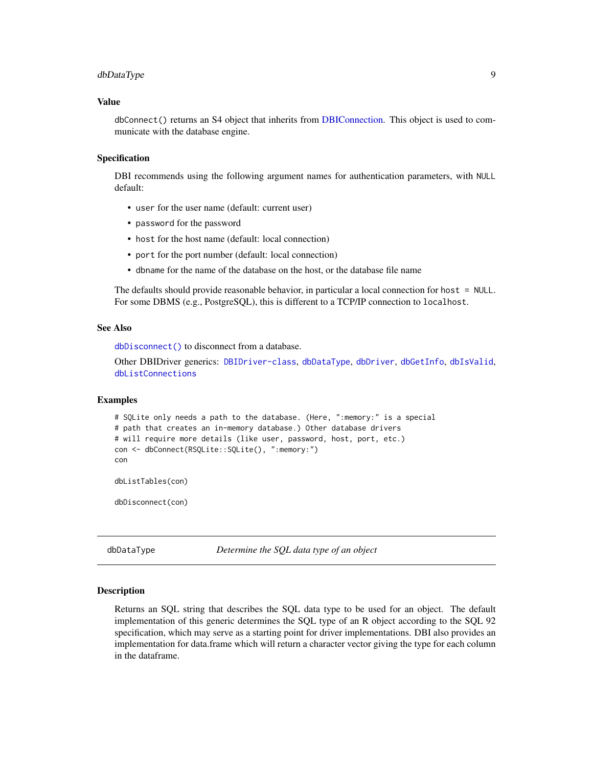## <span id="page-8-0"></span>dbDataType 9

## Value

dbConnect() returns an S4 object that inherits from [DBIConnection.](#page-24-1) This object is used to communicate with the database engine.

## Specification

DBI recommends using the following argument names for authentication parameters, with NULL default:

- user for the user name (default: current user)
- password for the password
- host for the host name (default: local connection)
- port for the port number (default: local connection)
- dbname for the name of the database on the host, or the database file name

The defaults should provide reasonable behavior, in particular a local connection for host = NULL. For some DBMS (e.g., PostgreSQL), this is different to a TCP/IP connection to localhost.

## See Also

[dbDisconnect\(\)](#page-10-1) to disconnect from a database.

Other DBIDriver generics: [DBIDriver-class](#page-25-1), [dbDataType](#page-8-1), [dbDriver](#page-11-1), [dbGetInfo](#page-17-1), [dbIsValid](#page-26-2), [dbListConnections](#page-28-1)

#### Examples

```
# SQLite only needs a path to the database. (Here, ":memory:" is a special
# path that creates an in-memory database.) Other database drivers
# will require more details (like user, password, host, port, etc.)
con <- dbConnect(RSQLite::SQLite(), ":memory:")
con
dbListTables(con)
```
dbDisconnect(con)

<span id="page-8-1"></span>dbDataType *Determine the SQL data type of an object*

#### Description

Returns an SQL string that describes the SQL data type to be used for an object. The default implementation of this generic determines the SQL type of an R object according to the SQL 92 specification, which may serve as a starting point for driver implementations. DBI also provides an implementation for data.frame which will return a character vector giving the type for each column in the dataframe.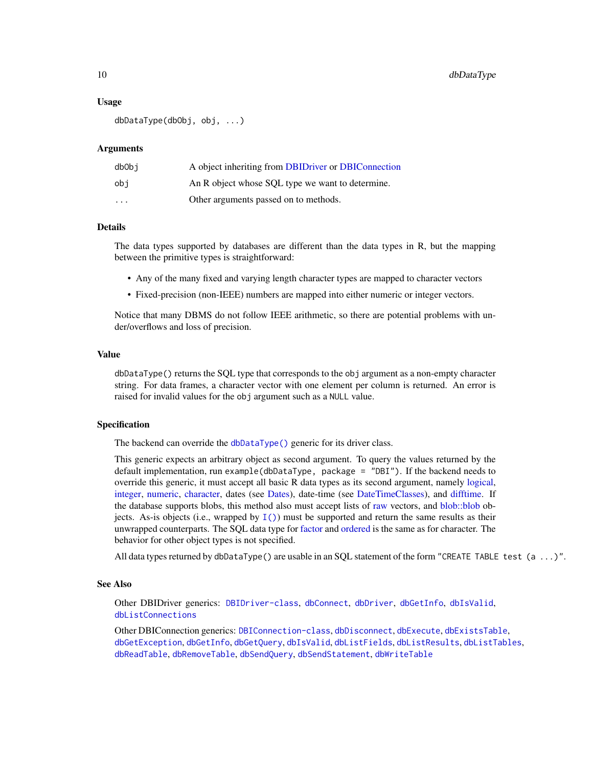## Usage

dbDataType(dbObj, obj, ...)

#### Arguments

| dbObi                   | A object inheriting from DBIDriver or DBIConnection |
|-------------------------|-----------------------------------------------------|
| obi                     | An R object whose SOL type we want to determine.    |
| $\cdot$ $\cdot$ $\cdot$ | Other arguments passed on to methods.               |

#### Details

The data types supported by databases are different than the data types in R, but the mapping between the primitive types is straightforward:

- Any of the many fixed and varying length character types are mapped to character vectors
- Fixed-precision (non-IEEE) numbers are mapped into either numeric or integer vectors.

Notice that many DBMS do not follow IEEE arithmetic, so there are potential problems with under/overflows and loss of precision.

## Value

dbDataType() returns the SQL type that corresponds to the obj argument as a non-empty character string. For data frames, a character vector with one element per column is returned. An error is raised for invalid values for the obj argument such as a NULL value.

#### Specification

The backend can override the [dbDataType\(\)](#page-8-1) generic for its driver class.

This generic expects an arbitrary object as second argument. To query the values returned by the default implementation, run example(dbDataType, package = "DBI"). If the backend needs to override this generic, it must accept all basic R data types as its second argument, namely [logical,](#page-0-0) [integer,](#page-0-0) [numeric,](#page-0-0) [character,](#page-0-0) dates (see [Dates\)](#page-0-0), date-time (see [DateTimeClasses\)](#page-0-0), and [difftime.](#page-0-0) If the database supports blobs, this method also must accept lists of [raw](#page-0-0) vectors, and [blob::blob](#page-0-0) objects. As-is objects (i.e., wrapped by  $I()$ ) must be supported and return the same results as their unwrapped counterparts. The SQL data type for [factor](#page-0-0) and [ordered](#page-0-0) is the same as for character. The behavior for other object types is not specified.

All data types returned by dbDataType() are usable in an SQL statement of the form "CREATE TABLE test (a ...)".

### See Also

Other DBIDriver generics: [DBIDriver-class](#page-25-1), [dbConnect](#page-7-1), [dbDriver](#page-11-1), [dbGetInfo](#page-17-1), [dbIsValid](#page-26-2), [dbListConnections](#page-28-1)

Other DBIConnection generics: [DBIConnection-class](#page-24-1), [dbDisconnect](#page-10-1), [dbExecute](#page-12-1), [dbExistsTable](#page-13-1), [dbGetException](#page-17-2), [dbGetInfo](#page-17-1), [dbGetQuery](#page-18-1), [dbIsValid](#page-26-2), [dbListFields](#page-28-2), [dbListResults](#page-29-1), [dbListTables](#page-30-1), [dbReadTable](#page-33-1), [dbRemoveTable](#page-35-1), [dbSendQuery](#page-36-1), [dbSendStatement](#page-37-1), [dbWriteTable](#page-40-1)

<span id="page-9-0"></span>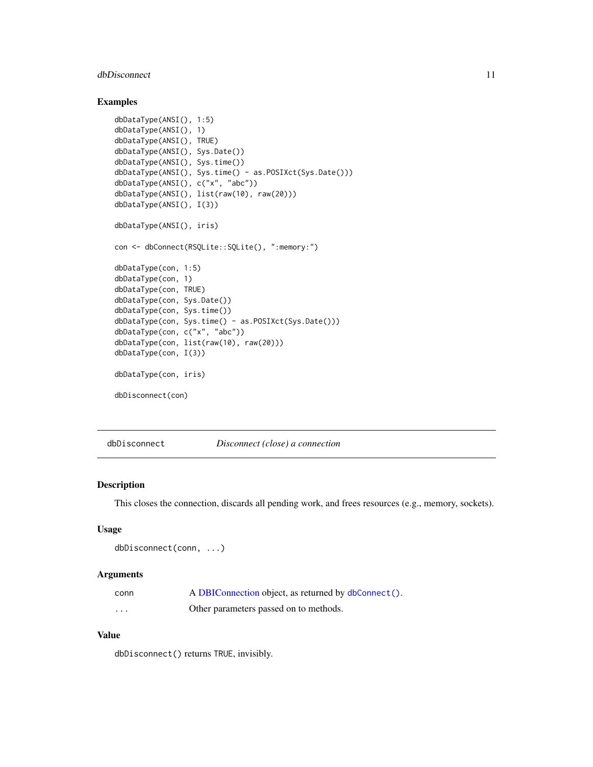## <span id="page-10-0"></span>dbDisconnect 11

## Examples

```
dbDataType(ANSI(), 1:5)
dbDataType(ANSI(), 1)
dbDataType(ANSI(), TRUE)
dbDataType(ANSI(), Sys.Date())
dbDataType(ANSI(), Sys.time())
dbDataType(ANSI(), Sys.time() - as.POSIXct(Sys.Date()))
dbDataType(ANSI(), c("x", "abc"))
dbDataType(ANSI(), list(raw(10), raw(20)))
dbDataType(ANSI(), I(3))
dbDataType(ANSI(), iris)
con <- dbConnect(RSQLite::SQLite(), ":memory:")
dbDataType(con, 1:5)
dbDataType(con, 1)
dbDataType(con, TRUE)
dbDataType(con, Sys.Date())
dbDataType(con, Sys.time())
dbDataType(con, Sys.time() - as.POSIXct(Sys.Date()))
dbDataType(con, c("x", "abc"))
dbDataType(con, list(raw(10), raw(20)))
dbDataType(con, I(3))
dbDataType(con, iris)
dbDisconnect(con)
```
<span id="page-10-1"></span>dbDisconnect *Disconnect (close) a connection*

## Description

This closes the connection, discards all pending work, and frees resources (e.g., memory, sockets).

#### Usage

```
dbDisconnect(conn, ...)
```
## Arguments

| conn              | A DBIConnection object, as returned by dbConnect(). |
|-------------------|-----------------------------------------------------|
| $\cdot\cdot\cdot$ | Other parameters passed on to methods.              |

## Value

dbDisconnect() returns TRUE, invisibly.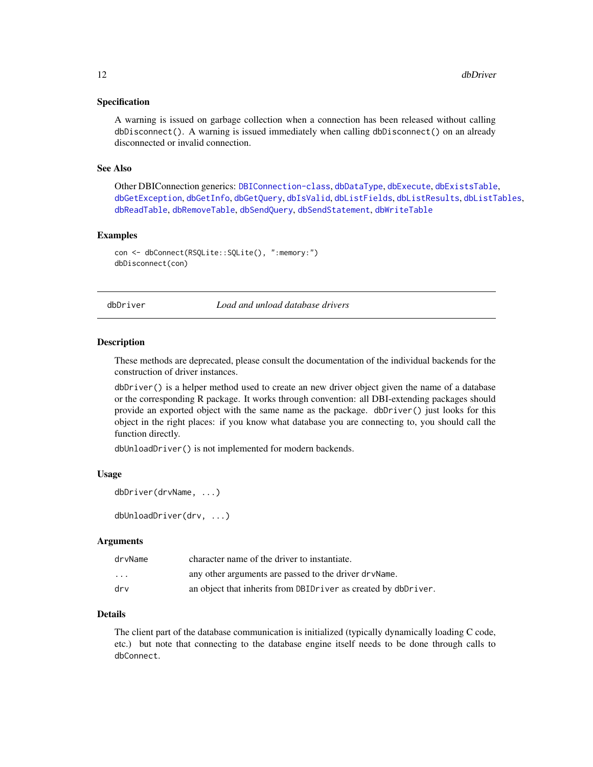## <span id="page-11-0"></span>Specification

A warning is issued on garbage collection when a connection has been released without calling dbDisconnect(). A warning is issued immediately when calling dbDisconnect() on an already disconnected or invalid connection.

## See Also

Other DBIConnection generics: [DBIConnection-class](#page-24-1), [dbDataType](#page-8-1), [dbExecute](#page-12-1), [dbExistsTable](#page-13-1), [dbGetException](#page-17-2), [dbGetInfo](#page-17-1), [dbGetQuery](#page-18-1), [dbIsValid](#page-26-2), [dbListFields](#page-28-2), [dbListResults](#page-29-1), [dbListTables](#page-30-1), [dbReadTable](#page-33-1), [dbRemoveTable](#page-35-1), [dbSendQuery](#page-36-1), [dbSendStatement](#page-37-1), [dbWriteTable](#page-40-1)

## Examples

```
con <- dbConnect(RSQLite::SQLite(), ":memory:")
dbDisconnect(con)
```
<span id="page-11-1"></span>dbDriver *Load and unload database drivers*

#### Description

These methods are deprecated, please consult the documentation of the individual backends for the construction of driver instances.

dbDriver() is a helper method used to create an new driver object given the name of a database or the corresponding R package. It works through convention: all DBI-extending packages should provide an exported object with the same name as the package. dbDriver() just looks for this object in the right places: if you know what database you are connecting to, you should call the function directly.

dbUnloadDriver() is not implemented for modern backends.

#### Usage

```
dbDriver(drvName, ...)
```
dbUnloadDriver(drv, ...)

#### Arguments

| drvName                 | character name of the driver to instantiate.                   |
|-------------------------|----------------------------------------------------------------|
| $\cdot$ $\cdot$ $\cdot$ | any other arguments are passed to the driver dry Name.         |
| drv                     | an object that inherits from DBIDriver as created by dbDriver. |

## Details

The client part of the database communication is initialized (typically dynamically loading C code, etc.) but note that connecting to the database engine itself needs to be done through calls to dbConnect.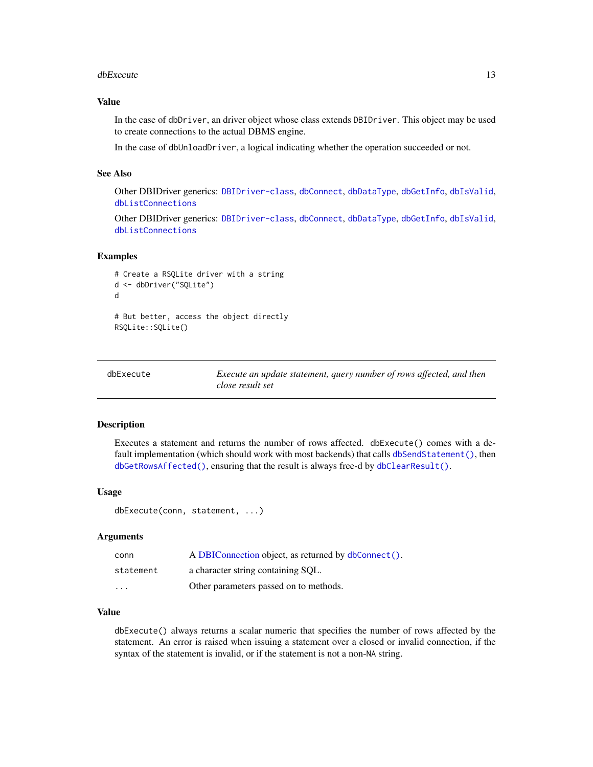#### <span id="page-12-0"></span>dbExecute 13

## Value

In the case of dbDriver, an driver object whose class extends DBIDriver. This object may be used to create connections to the actual DBMS engine.

In the case of dbUnloadDriver, a logical indicating whether the operation succeeded or not.

## See Also

Other DBIDriver generics: [DBIDriver-class](#page-25-1), [dbConnect](#page-7-1), [dbDataType](#page-8-1), [dbGetInfo](#page-17-1), [dbIsValid](#page-26-2), [dbListConnections](#page-28-1)

Other DBIDriver generics: [DBIDriver-class](#page-25-1), [dbConnect](#page-7-1), [dbDataType](#page-8-1), [dbGetInfo](#page-17-1), [dbIsValid](#page-26-2), [dbListConnections](#page-28-1)

## Examples

```
# Create a RSQLite driver with a string
d <- dbDriver("SQLite")
d
# But better, access the object directly
RSQLite::SQLite()
```
<span id="page-12-1"></span>

| dbExecute | Execute an update statement, query number of rows affected, and then |
|-----------|----------------------------------------------------------------------|
|           | close result set                                                     |

#### Description

Executes a statement and returns the number of rows affected. dbExecute() comes with a default implementation (which should work with most backends) that calls [dbSendStatement\(\)](#page-37-1), then [dbGetRowsAffected\(\)](#page-21-1), ensuring that the result is always free-d by [dbClearResult\(\)](#page-5-1).

## Usage

```
dbExecute(conn, statement, ...)
```
## Arguments

| conn      | A DBIConnection object, as returned by dbConnect(). |
|-----------|-----------------------------------------------------|
| statement | a character string containing SQL.                  |
| $\cdots$  | Other parameters passed on to methods.              |

## Value

dbExecute() always returns a scalar numeric that specifies the number of rows affected by the statement. An error is raised when issuing a statement over a closed or invalid connection, if the syntax of the statement is invalid, or if the statement is not a non-NA string.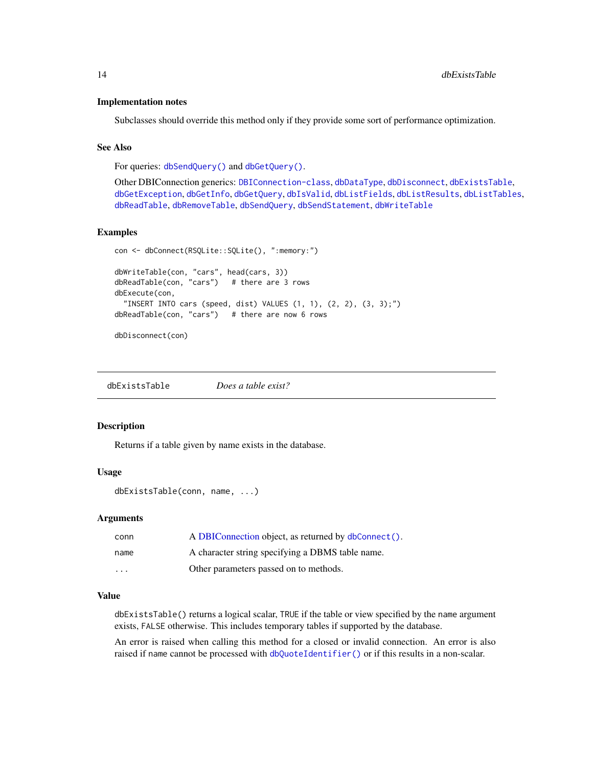## <span id="page-13-0"></span>Implementation notes

Subclasses should override this method only if they provide some sort of performance optimization.

#### See Also

For queries: [dbSendQuery\(\)](#page-36-1) and [dbGetQuery\(\)](#page-18-1).

Other DBIConnection generics: [DBIConnection-class](#page-24-1), [dbDataType](#page-8-1), [dbDisconnect](#page-10-1), [dbExistsTable](#page-13-1), [dbGetException](#page-17-2), [dbGetInfo](#page-17-1), [dbGetQuery](#page-18-1), [dbIsValid](#page-26-2), [dbListFields](#page-28-2), [dbListResults](#page-29-1), [dbListTables](#page-30-1), [dbReadTable](#page-33-1), [dbRemoveTable](#page-35-1), [dbSendQuery](#page-36-1), [dbSendStatement](#page-37-1), [dbWriteTable](#page-40-1)

#### Examples

```
con <- dbConnect(RSQLite::SQLite(), ":memory:")
dbWriteTable(con, "cars", head(cars, 3))
dbReadTable(con, "cars") # there are 3 rows
dbExecute(con,
  "INSERT INTO cars (speed, dist) VALUES (1, 1), (2, 2), (3, 3);")
dbReadTable(con, "cars") # there are now 6 rows
```
dbDisconnect(con)

<span id="page-13-1"></span>dbExistsTable *Does a table exist?*

#### Description

Returns if a table given by name exists in the database.

#### Usage

```
dbExistsTable(conn, name, ...)
```
#### Arguments

| conn                    | A DBIConnection object, as returned by dbConnect(). |
|-------------------------|-----------------------------------------------------|
| name                    | A character string specifying a DBMS table name.    |
| $\cdot$ $\cdot$ $\cdot$ | Other parameters passed on to methods.              |

## Value

dbExistsTable() returns a logical scalar, TRUE if the table or view specified by the name argument exists, FALSE otherwise. This includes temporary tables if supported by the database.

An error is raised when calling this method for a closed or invalid connection. An error is also raised if name cannot be processed with [dbQuoteIdentifier\(\)](#page-31-1) or if this results in a non-scalar.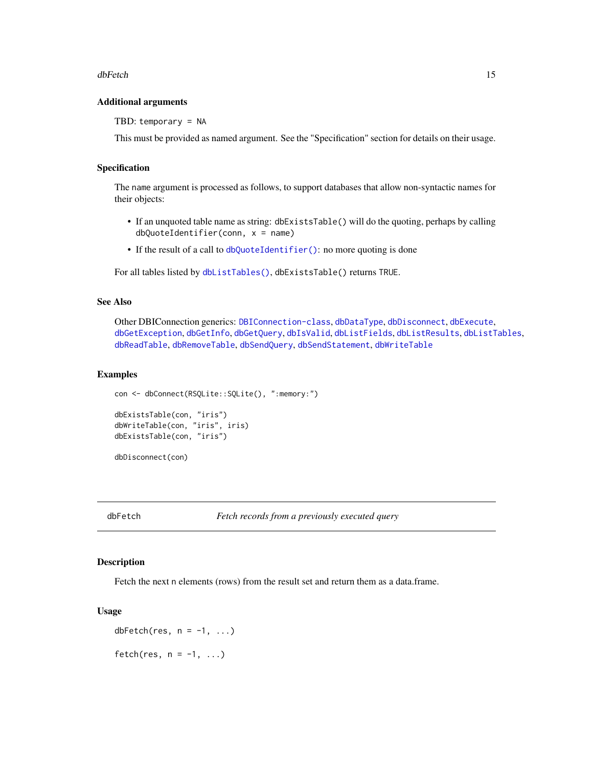#### <span id="page-14-0"></span>dbFetch 15

## Additional arguments

TBD: temporary = NA

This must be provided as named argument. See the "Specification" section for details on their usage.

## Specification

The name argument is processed as follows, to support databases that allow non-syntactic names for their objects:

- If an unquoted table name as string: dbExistsTable() will do the quoting, perhaps by calling dbQuoteIdentifier(conn, x = name)
- If the result of a call to [dbQuoteIdentifier\(\)](#page-31-1): no more quoting is done

For all tables listed by [dbListTables\(\)](#page-30-1), dbExistsTable() returns TRUE.

## See Also

Other DBIConnection generics: [DBIConnection-class](#page-24-1), [dbDataType](#page-8-1), [dbDisconnect](#page-10-1), [dbExecute](#page-12-1), [dbGetException](#page-17-2), [dbGetInfo](#page-17-1), [dbGetQuery](#page-18-1), [dbIsValid](#page-26-2), [dbListFields](#page-28-2), [dbListResults](#page-29-1), [dbListTables](#page-30-1), [dbReadTable](#page-33-1), [dbRemoveTable](#page-35-1), [dbSendQuery](#page-36-1), [dbSendStatement](#page-37-1), [dbWriteTable](#page-40-1)

### Examples

```
con <- dbConnect(RSQLite::SQLite(), ":memory:")
```

```
dbExistsTable(con, "iris")
dbWriteTable(con, "iris", iris)
dbExistsTable(con, "iris")
```

```
dbDisconnect(con)
```
<span id="page-14-1"></span>

## **Description**

Fetch the next n elements (rows) from the result set and return them as a data.frame.

#### Usage

dbFetch(res,  $n = -1, ...$ ) fetch(res,  $n = -1, \ldots$ )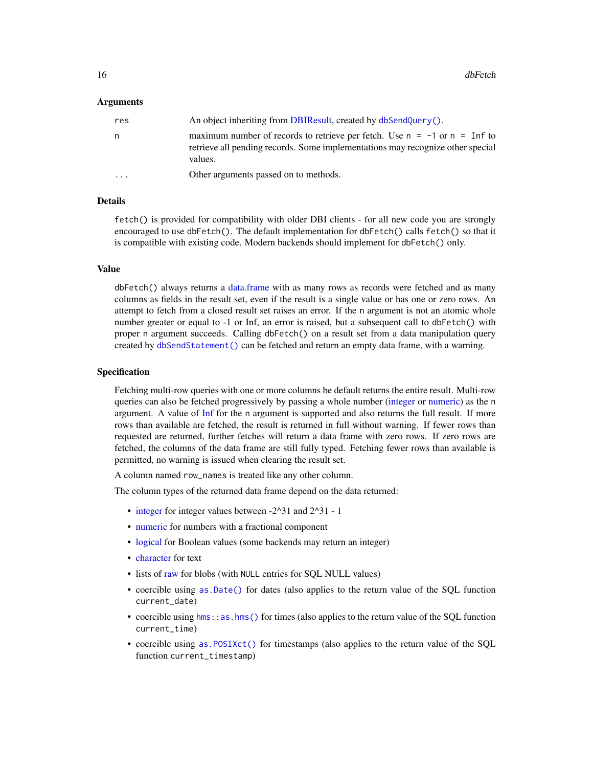## <span id="page-15-0"></span>Arguments

| res                     | An object inheriting from DBIResult, created by dbSendQuery().                                                                                                                    |
|-------------------------|-----------------------------------------------------------------------------------------------------------------------------------------------------------------------------------|
| n.                      | maximum number of records to retrieve per fetch. Use $n = -1$ or $n = \text{Inf}$ to<br>retrieve all pending records. Some implementations may recognize other special<br>values. |
| $\cdot$ $\cdot$ $\cdot$ | Other arguments passed on to methods.                                                                                                                                             |

## Details

fetch() is provided for compatibility with older DBI clients - for all new code you are strongly encouraged to use dbFetch(). The default implementation for dbFetch() calls fetch() so that it is compatible with existing code. Modern backends should implement for dbFetch() only.

#### Value

dbFetch() always returns a [data.frame](#page-0-0) with as many rows as records were fetched and as many columns as fields in the result set, even if the result is a single value or has one or zero rows. An attempt to fetch from a closed result set raises an error. If the n argument is not an atomic whole number greater or equal to -1 or Inf, an error is raised, but a subsequent call to dbFetch() with proper n argument succeeds. Calling dbFetch() on a result set from a data manipulation query created by [dbSendStatement\(\)](#page-37-1) can be fetched and return an empty data frame, with a warning.

## Specification

Fetching multi-row queries with one or more columns be default returns the entire result. Multi-row queries can also be fetched progressively by passing a whole number [\(integer](#page-0-0) or [numeric\)](#page-0-0) as the n argument. A value of [Inf](#page-0-0) for the n argument is supported and also returns the full result. If more rows than available are fetched, the result is returned in full without warning. If fewer rows than requested are returned, further fetches will return a data frame with zero rows. If zero rows are fetched, the columns of the data frame are still fully typed. Fetching fewer rows than available is permitted, no warning is issued when clearing the result set.

A column named row\_names is treated like any other column.

The column types of the returned data frame depend on the data returned:

- [integer](#page-0-0) for integer values between -2^31 and 2^31 1
- [numeric](#page-0-0) for numbers with a fractional component
- [logical](#page-0-0) for Boolean values (some backends may return an integer)
- [character](#page-0-0) for text
- lists of [raw](#page-0-0) for blobs (with NULL entries for SOL NULL values)
- coercible using [as.Date\(\)](#page-0-0) for dates (also applies to the return value of the SQL function current\_date)
- coercible using [hms::as.hms\(\)](#page-0-0) for times (also applies to the return value of the SQL function current\_time)
- coercible using [as.POSIXct\(\)](#page-0-0) for timestamps (also applies to the return value of the SQL function current\_timestamp)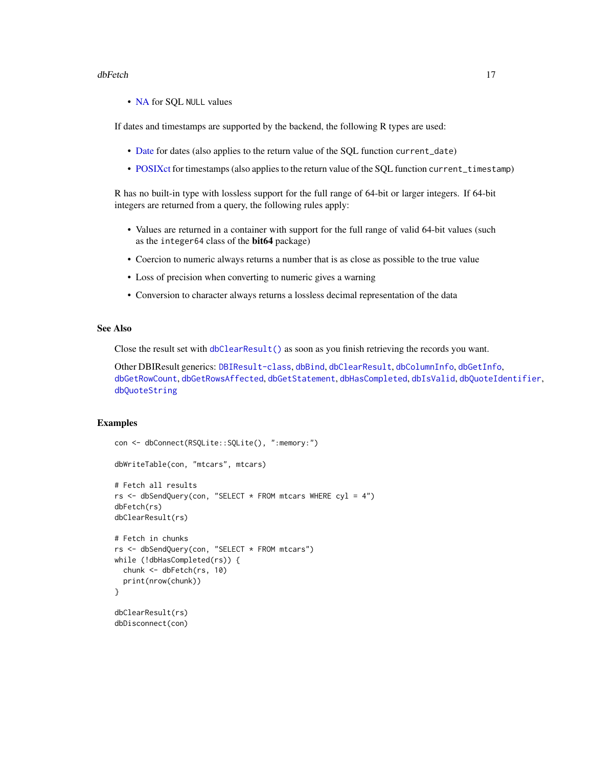#### <span id="page-16-0"></span>dbFetch 17

• [NA](#page-0-0) for SQL NULL values

If dates and timestamps are supported by the backend, the following R types are used:

- [Date](#page-0-0) for dates (also applies to the return value of the SQL function current\_date)
- [POSIXct](#page-0-0) for timestamps (also applies to the return value of the SQL function current\_timestamp)

R has no built-in type with lossless support for the full range of 64-bit or larger integers. If 64-bit integers are returned from a query, the following rules apply:

- Values are returned in a container with support for the full range of valid 64-bit values (such as the integer64 class of the bit64 package)
- Coercion to numeric always returns a number that is as close as possible to the true value
- Loss of precision when converting to numeric gives a warning
- Conversion to character always returns a lossless decimal representation of the data

## See Also

Close the result set with [dbClearResult\(\)](#page-5-1) as soon as you finish retrieving the records you want.

Other DBIResult generics: [DBIResult-class](#page-26-1), [dbBind](#page-3-1), [dbClearResult](#page-5-1), [dbColumnInfo](#page-6-1), [dbGetInfo](#page-17-1), [dbGetRowCount](#page-20-1), [dbGetRowsAffected](#page-21-1), [dbGetStatement](#page-22-1), [dbHasCompleted](#page-23-1), [dbIsValid](#page-26-2), [dbQuoteIdentifier](#page-31-1), [dbQuoteString](#page-32-1)

## Examples

```
con <- dbConnect(RSQLite::SQLite(), ":memory:")
dbWriteTable(con, "mtcars", mtcars)
# Fetch all results
rs <- dbSendQuery(con, "SELECT * FROM mtcars WHERE cyl = 4")
dbFetch(rs)
dbClearResult(rs)
# Fetch in chunks
rs <- dbSendQuery(con, "SELECT * FROM mtcars")
while (!dbHasCompleted(rs)) {
 chunk <- dbFetch(rs, 10)
 print(nrow(chunk))
}
dbClearResult(rs)
dbDisconnect(con)
```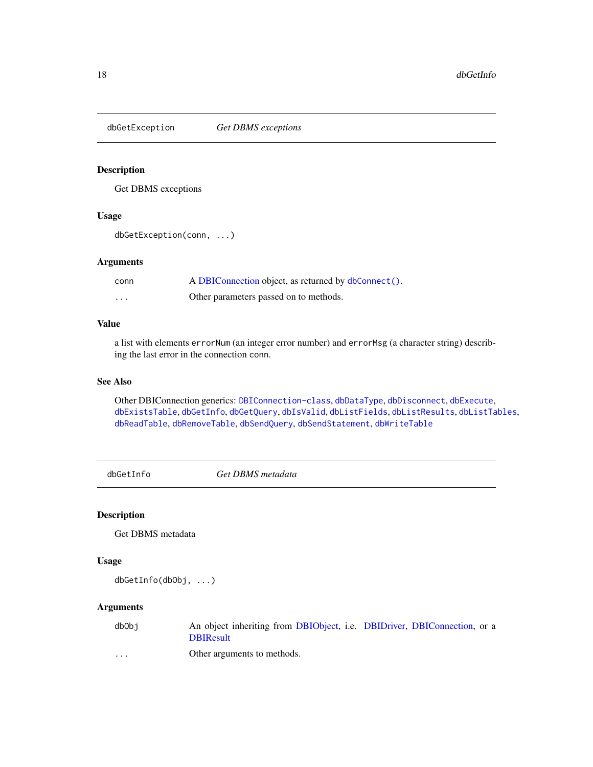<span id="page-17-2"></span><span id="page-17-0"></span>dbGetException *Get DBMS exceptions*

## Description

Get DBMS exceptions

## Usage

```
dbGetException(conn, ...)
```
## Arguments

| conn | A DBIConnection object, as returned by dbConnect(). |
|------|-----------------------------------------------------|
| .    | Other parameters passed on to methods.              |

## Value

a list with elements errorNum (an integer error number) and errorMsg (a character string) describing the last error in the connection conn.

## See Also

Other DBIConnection generics: [DBIConnection-class](#page-24-1), [dbDataType](#page-8-1), [dbDisconnect](#page-10-1), [dbExecute](#page-12-1), [dbExistsTable](#page-13-1), [dbGetInfo](#page-17-1), [dbGetQuery](#page-18-1), [dbIsValid](#page-26-2), [dbListFields](#page-28-2), [dbListResults](#page-29-1), [dbListTables](#page-30-1), [dbReadTable](#page-33-1), [dbRemoveTable](#page-35-1), [dbSendQuery](#page-36-1), [dbSendStatement](#page-37-1), [dbWriteTable](#page-40-1)

<span id="page-17-1"></span>dbGetInfo *Get DBMS metadata*

## Description

Get DBMS metadata

## Usage

dbGetInfo(dbObj, ...)

## Arguments

| dbObi | An object inheriting from DBIObject, i.e. DBIDriver, DBIConnection, or a |  |  |
|-------|--------------------------------------------------------------------------|--|--|
|       | <b>DBIResult</b>                                                         |  |  |

... Other arguments to methods.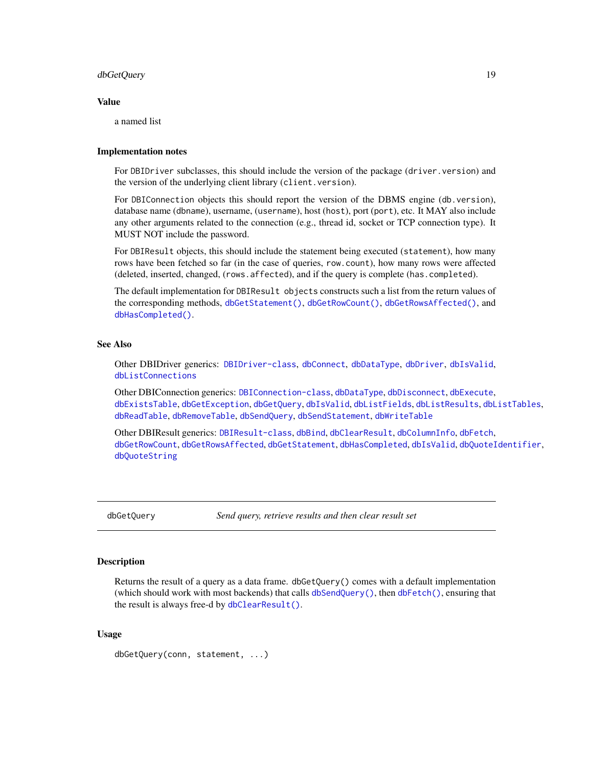## <span id="page-18-0"></span>dbGetQuery 19

#### Value

a named list

## Implementation notes

For DBIDriver subclasses, this should include the version of the package (driver.version) and the version of the underlying client library (client.version).

For DBIConnection objects this should report the version of the DBMS engine (db.version), database name (dbname), username, (username), host (host), port (port), etc. It MAY also include any other arguments related to the connection (e.g., thread id, socket or TCP connection type). It MUST NOT include the password.

For DBIResult objects, this should include the statement being executed (statement), how many rows have been fetched so far (in the case of queries, row.count), how many rows were affected (deleted, inserted, changed, (rows.affected), and if the query is complete (has.completed).

The default implementation for DBIResult objects constructs such a list from the return values of the corresponding methods, [dbGetStatement\(\)](#page-22-1), [dbGetRowCount\(\)](#page-20-1), [dbGetRowsAffected\(\)](#page-21-1), and [dbHasCompleted\(\)](#page-23-1).

## See Also

Other DBIDriver generics: [DBIDriver-class](#page-25-1), [dbConnect](#page-7-1), [dbDataType](#page-8-1), [dbDriver](#page-11-1), [dbIsValid](#page-26-2), [dbListConnections](#page-28-1)

Other DBIConnection generics: [DBIConnection-class](#page-24-1), [dbDataType](#page-8-1), [dbDisconnect](#page-10-1), [dbExecute](#page-12-1), [dbExistsTable](#page-13-1), [dbGetException](#page-17-2), [dbGetQuery](#page-18-1), [dbIsValid](#page-26-2), [dbListFields](#page-28-2), [dbListResults](#page-29-1), [dbListTables](#page-30-1), [dbReadTable](#page-33-1), [dbRemoveTable](#page-35-1), [dbSendQuery](#page-36-1), [dbSendStatement](#page-37-1), [dbWriteTable](#page-40-1)

Other DBIResult generics: [DBIResult-class](#page-26-1), [dbBind](#page-3-1), [dbClearResult](#page-5-1), [dbColumnInfo](#page-6-1), [dbFetch](#page-14-1), [dbGetRowCount](#page-20-1), [dbGetRowsAffected](#page-21-1), [dbGetStatement](#page-22-1), [dbHasCompleted](#page-23-1), [dbIsValid](#page-26-2), [dbQuoteIdentifier](#page-31-1), [dbQuoteString](#page-32-1)

<span id="page-18-1"></span>dbGetQuery *Send query, retrieve results and then clear result set*

## **Description**

Returns the result of a query as a data frame. dbGetQuery() comes with a default implementation (which should work with most backends) that calls [dbSendQuery\(\)](#page-36-1), then [dbFetch\(\)](#page-14-1), ensuring that the result is always free-d by [dbClearResult\(\)](#page-5-1).

## Usage

```
dbGetQuery(conn, statement, ...)
```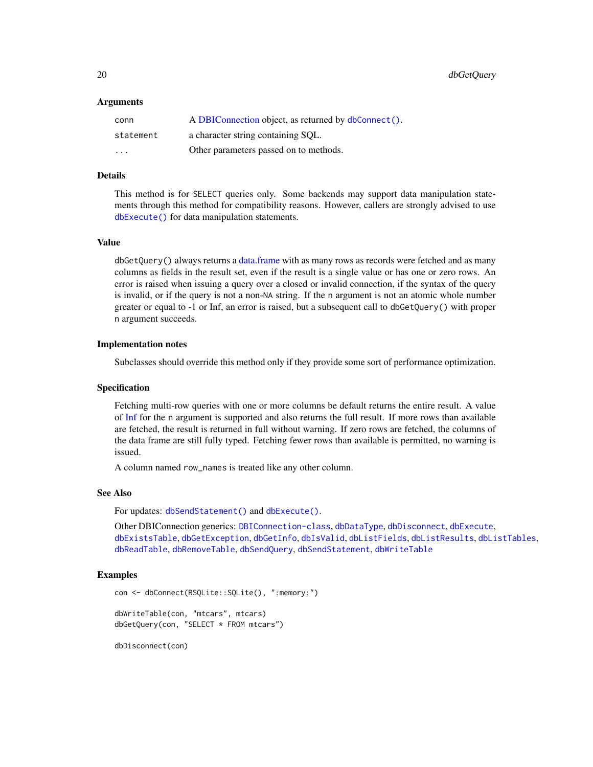<span id="page-19-0"></span>20 dbGetQuery

### Arguments

| conn                    | A DBIConnection object, as returned by dbConnect(). |
|-------------------------|-----------------------------------------------------|
| statement               | a character string containing SQL.                  |
| $\cdot$ $\cdot$ $\cdot$ | Other parameters passed on to methods.              |

## Details

This method is for SELECT queries only. Some backends may support data manipulation statements through this method for compatibility reasons. However, callers are strongly advised to use [dbExecute\(\)](#page-12-1) for data manipulation statements.

## Value

dbGetQuery() always returns a [data.frame](#page-0-0) with as many rows as records were fetched and as many columns as fields in the result set, even if the result is a single value or has one or zero rows. An error is raised when issuing a query over a closed or invalid connection, if the syntax of the query is invalid, or if the query is not a non-NA string. If the n argument is not an atomic whole number greater or equal to -1 or Inf, an error is raised, but a subsequent call to dbGetQuery() with proper n argument succeeds.

#### Implementation notes

Subclasses should override this method only if they provide some sort of performance optimization.

## Specification

Fetching multi-row queries with one or more columns be default returns the entire result. A value of [Inf](#page-0-0) for the n argument is supported and also returns the full result. If more rows than available are fetched, the result is returned in full without warning. If zero rows are fetched, the columns of the data frame are still fully typed. Fetching fewer rows than available is permitted, no warning is issued.

A column named row\_names is treated like any other column.

#### See Also

For updates: [dbSendStatement\(\)](#page-37-1) and [dbExecute\(\)](#page-12-1).

Other DBIConnection generics: [DBIConnection-class](#page-24-1), [dbDataType](#page-8-1), [dbDisconnect](#page-10-1), [dbExecute](#page-12-1), [dbExistsTable](#page-13-1), [dbGetException](#page-17-2), [dbGetInfo](#page-17-1), [dbIsValid](#page-26-2), [dbListFields](#page-28-2), [dbListResults](#page-29-1), [dbListTables](#page-30-1), [dbReadTable](#page-33-1), [dbRemoveTable](#page-35-1), [dbSendQuery](#page-36-1), [dbSendStatement](#page-37-1), [dbWriteTable](#page-40-1)

## Examples

```
con <- dbConnect(RSQLite::SQLite(), ":memory:")
dbWriteTable(con, "mtcars", mtcars)
```
dbGetQuery(con, "SELECT \* FROM mtcars")

dbDisconnect(con)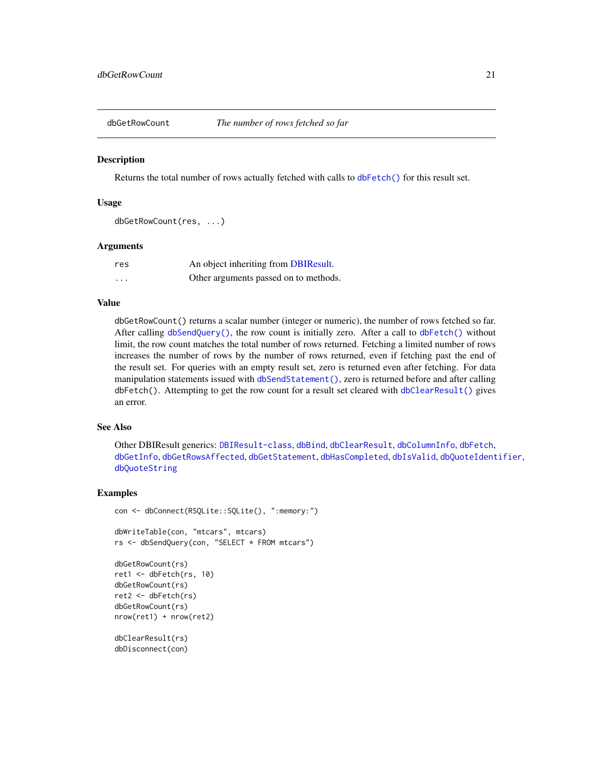<span id="page-20-1"></span><span id="page-20-0"></span>

Returns the total number of rows actually fetched with calls to [dbFetch\(\)](#page-14-1) for this result set.

## Usage

```
dbGetRowCount(res, ...)
```
## Arguments

| res      | An object inheriting from DBIResult.  |
|----------|---------------------------------------|
| $\cdots$ | Other arguments passed on to methods. |

## Value

dbGetRowCount() returns a scalar number (integer or numeric), the number of rows fetched so far. After calling [dbSendQuery\(\)](#page-36-1), the row count is initially zero. After a call to [dbFetch\(\)](#page-14-1) without limit, the row count matches the total number of rows returned. Fetching a limited number of rows increases the number of rows by the number of rows returned, even if fetching past the end of the result set. For queries with an empty result set, zero is returned even after fetching. For data manipulation statements issued with [dbSendStatement\(\)](#page-37-1), zero is returned before and after calling dbFetch(). Attempting to get the row count for a result set cleared with [dbClearResult\(\)](#page-5-1) gives an error.

## See Also

Other DBIResult generics: [DBIResult-class](#page-26-1), [dbBind](#page-3-1), [dbClearResult](#page-5-1), [dbColumnInfo](#page-6-1), [dbFetch](#page-14-1), [dbGetInfo](#page-17-1), [dbGetRowsAffected](#page-21-1), [dbGetStatement](#page-22-1), [dbHasCompleted](#page-23-1), [dbIsValid](#page-26-2), [dbQuoteIdentifier](#page-31-1), [dbQuoteString](#page-32-1)

#### Examples

```
con <- dbConnect(RSQLite::SQLite(), ":memory:")
dbWriteTable(con, "mtcars", mtcars)
rs <- dbSendQuery(con, "SELECT * FROM mtcars")
dbGetRowCount(rs)
ret1 <- dbFetch(rs, 10)
dbGetRowCount(rs)
ret2 <- dbFetch(rs)
dbGetRowCount(rs)
nrow(ret1) + nrow(ret2)
dbClearResult(rs)
dbDisconnect(con)
```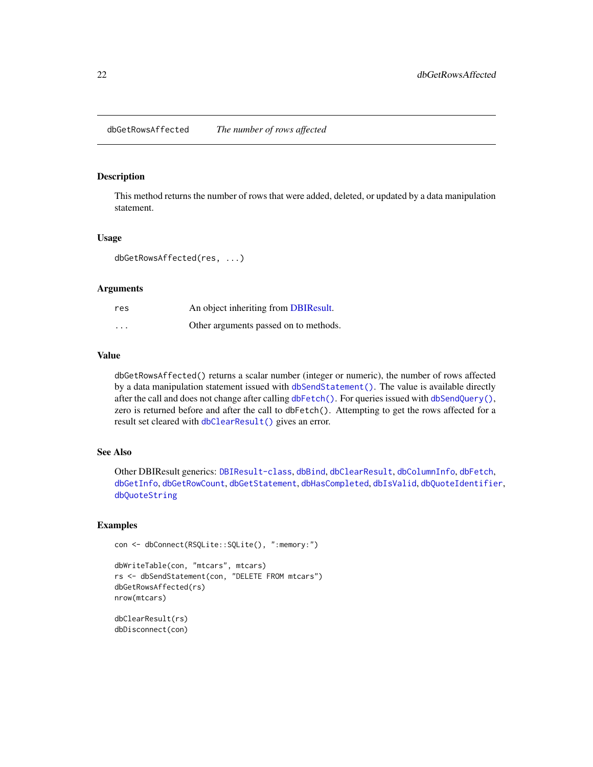<span id="page-21-1"></span><span id="page-21-0"></span>This method returns the number of rows that were added, deleted, or updated by a data manipulation statement.

## Usage

dbGetRowsAffected(res, ...)

## **Arguments**

| res      | An object inheriting from DBIResult.  |
|----------|---------------------------------------|
| $\cdots$ | Other arguments passed on to methods. |

## Value

dbGetRowsAffected() returns a scalar number (integer or numeric), the number of rows affected by a data manipulation statement issued with [dbSendStatement\(\)](#page-37-1). The value is available directly after the call and does not change after calling [dbFetch\(\)](#page-14-1). For queries issued with [dbSendQuery\(\)](#page-36-1), zero is returned before and after the call to dbFetch(). Attempting to get the rows affected for a result set cleared with [dbClearResult\(\)](#page-5-1) gives an error.

### See Also

Other DBIResult generics: [DBIResult-class](#page-26-1), [dbBind](#page-3-1), [dbClearResult](#page-5-1), [dbColumnInfo](#page-6-1), [dbFetch](#page-14-1), [dbGetInfo](#page-17-1), [dbGetRowCount](#page-20-1), [dbGetStatement](#page-22-1), [dbHasCompleted](#page-23-1), [dbIsValid](#page-26-2), [dbQuoteIdentifier](#page-31-1), [dbQuoteString](#page-32-1)

## Examples

```
con <- dbConnect(RSQLite::SQLite(), ":memory:")
```

```
dbWriteTable(con, "mtcars", mtcars)
rs <- dbSendStatement(con, "DELETE FROM mtcars")
dbGetRowsAffected(rs)
nrow(mtcars)
```
dbClearResult(rs) dbDisconnect(con)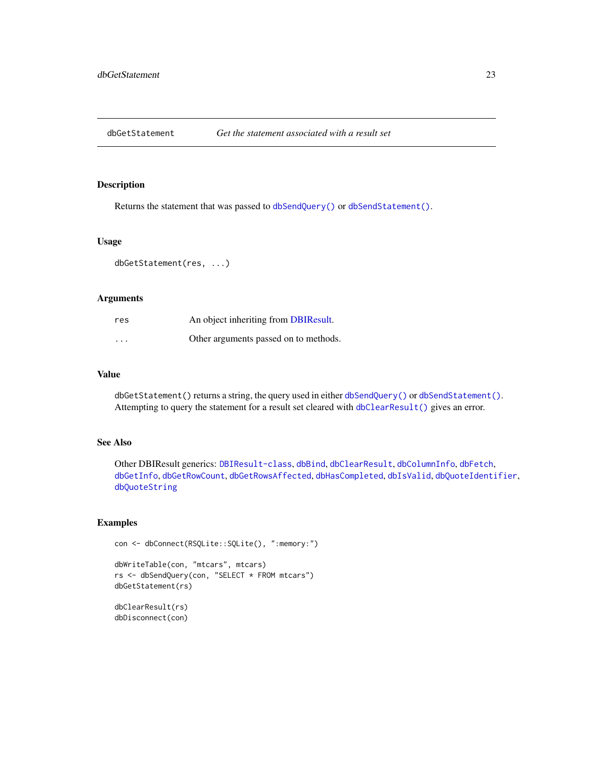<span id="page-22-1"></span><span id="page-22-0"></span>

Returns the statement that was passed to [dbSendQuery\(\)](#page-36-1) or [dbSendStatement\(\)](#page-37-1).

## Usage

```
dbGetStatement(res, ...)
```
## Arguments

| res                     | An object inheriting from DBIResult.  |
|-------------------------|---------------------------------------|
| $\cdot$ $\cdot$ $\cdot$ | Other arguments passed on to methods. |

## Value

dbGetStatement() returns a string, the query used in either [dbSendQuery\(\)](#page-36-1) or [dbSendStatement\(\)](#page-37-1). Attempting to query the statement for a result set cleared with [dbClearResult\(\)](#page-5-1) gives an error.

## See Also

Other DBIResult generics: [DBIResult-class](#page-26-1), [dbBind](#page-3-1), [dbClearResult](#page-5-1), [dbColumnInfo](#page-6-1), [dbFetch](#page-14-1), [dbGetInfo](#page-17-1), [dbGetRowCount](#page-20-1), [dbGetRowsAffected](#page-21-1), [dbHasCompleted](#page-23-1), [dbIsValid](#page-26-2), [dbQuoteIdentifier](#page-31-1), [dbQuoteString](#page-32-1)

## Examples

```
con <- dbConnect(RSQLite::SQLite(), ":memory:")
dbWriteTable(con, "mtcars", mtcars)
rs <- dbSendQuery(con, "SELECT * FROM mtcars")
dbGetStatement(rs)
```
dbClearResult(rs) dbDisconnect(con)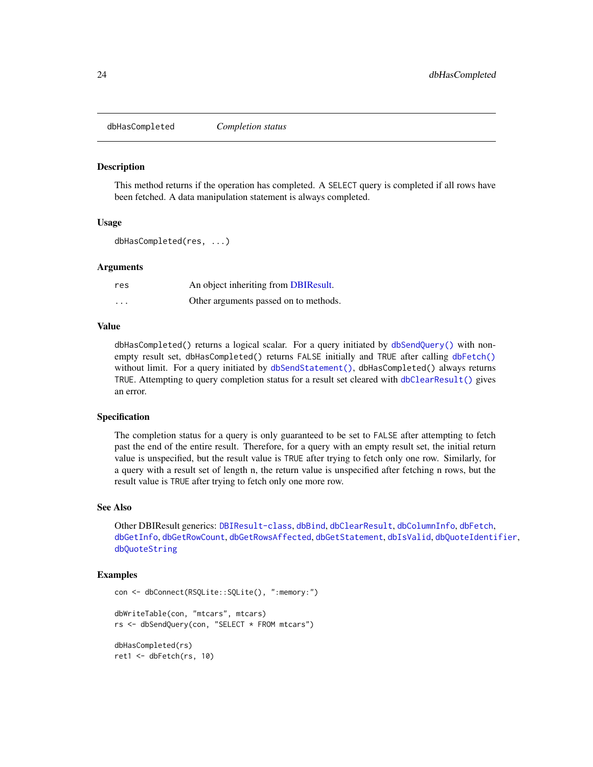<span id="page-23-1"></span><span id="page-23-0"></span>dbHasCompleted *Completion status*

#### Description

This method returns if the operation has completed. A SELECT query is completed if all rows have been fetched. A data manipulation statement is always completed.

## Usage

```
dbHasCompleted(res, ...)
```
#### Arguments

| res                     | An object inheriting from DBIResult.  |
|-------------------------|---------------------------------------|
| $\cdot$ $\cdot$ $\cdot$ | Other arguments passed on to methods. |

### Value

dbHasCompleted() returns a logical scalar. For a query initiated by [dbSendQuery\(\)](#page-36-1) with nonempty result set, dbHasCompleted() returns FALSE initially and TRUE after calling [dbFetch\(\)](#page-14-1) without limit. For a query initiated by [dbSendStatement\(\)](#page-37-1), dbHasCompleted() always returns TRUE. Attempting to query completion status for a result set cleared with [dbClearResult\(\)](#page-5-1) gives an error.

#### Specification

The completion status for a query is only guaranteed to be set to FALSE after attempting to fetch past the end of the entire result. Therefore, for a query with an empty result set, the initial return value is unspecified, but the result value is TRUE after trying to fetch only one row. Similarly, for a query with a result set of length n, the return value is unspecified after fetching n rows, but the result value is TRUE after trying to fetch only one more row.

#### See Also

Other DBIResult generics: [DBIResult-class](#page-26-1), [dbBind](#page-3-1), [dbClearResult](#page-5-1), [dbColumnInfo](#page-6-1), [dbFetch](#page-14-1), [dbGetInfo](#page-17-1), [dbGetRowCount](#page-20-1), [dbGetRowsAffected](#page-21-1), [dbGetStatement](#page-22-1), [dbIsValid](#page-26-2), [dbQuoteIdentifier](#page-31-1), [dbQuoteString](#page-32-1)

## Examples

```
con <- dbConnect(RSQLite::SQLite(), ":memory:")
dbWriteTable(con, "mtcars", mtcars)
rs <- dbSendQuery(con, "SELECT * FROM mtcars")
dbHasCompleted(rs)
ret1 <- dbFetch(rs, 10)
```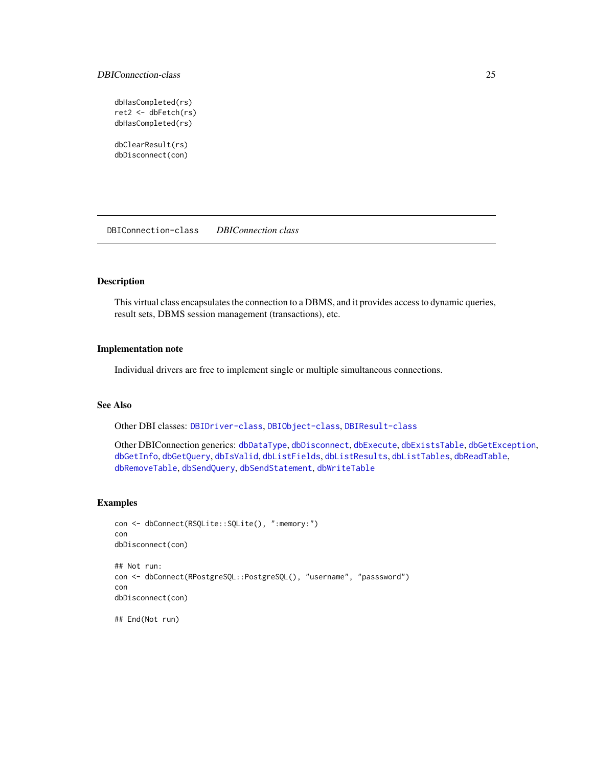## <span id="page-24-0"></span>DBIConnection-class 25

```
dbHasCompleted(rs)
ret2 <- dbFetch(rs)
dbHasCompleted(rs)
dbClearResult(rs)
dbDisconnect(con)
```
<span id="page-24-1"></span>DBIConnection-class *DBIConnection class*

## Description

This virtual class encapsulates the connection to a DBMS, and it provides access to dynamic queries, result sets, DBMS session management (transactions), etc.

## Implementation note

Individual drivers are free to implement single or multiple simultaneous connections.

## See Also

Other DBI classes: [DBIDriver-class](#page-25-1), [DBIObject-class](#page-25-2), [DBIResult-class](#page-26-1)

Other DBIConnection generics: [dbDataType](#page-8-1), [dbDisconnect](#page-10-1), [dbExecute](#page-12-1), [dbExistsTable](#page-13-1), [dbGetException](#page-17-2), [dbGetInfo](#page-17-1), [dbGetQuery](#page-18-1), [dbIsValid](#page-26-2), [dbListFields](#page-28-2), [dbListResults](#page-29-1), [dbListTables](#page-30-1), [dbReadTable](#page-33-1), [dbRemoveTable](#page-35-1), [dbSendQuery](#page-36-1), [dbSendStatement](#page-37-1), [dbWriteTable](#page-40-1)

## Examples

```
con <- dbConnect(RSQLite::SQLite(), ":memory:")
con
dbDisconnect(con)
## Not run:
con <- dbConnect(RPostgreSQL::PostgreSQL(), "username", "passsword")
con
dbDisconnect(con)
## End(Not run)
```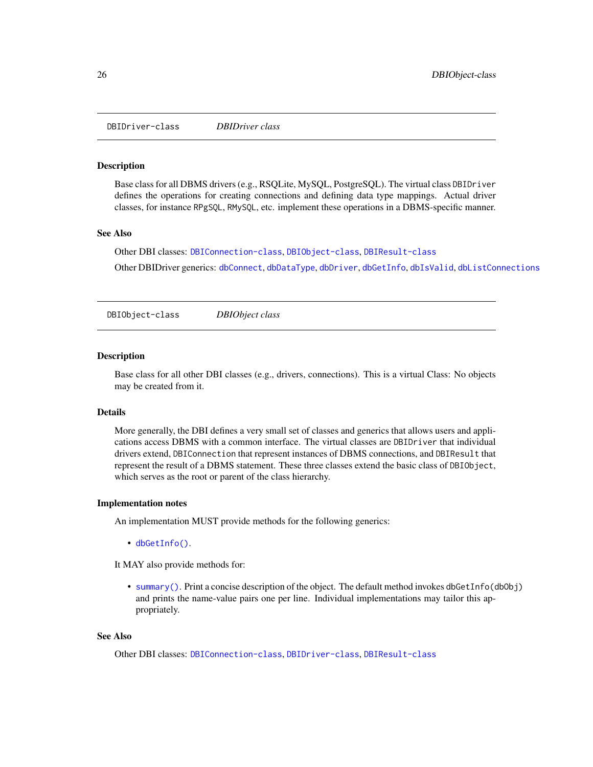<span id="page-25-1"></span><span id="page-25-0"></span>DBIDriver-class *DBIDriver class*

## Description

Base class for all DBMS drivers (e.g., RSQLite, MySQL, PostgreSQL). The virtual class DBIDriver defines the operations for creating connections and defining data type mappings. Actual driver classes, for instance RPgSQL, RMySQL, etc. implement these operations in a DBMS-specific manner.

## See Also

Other DBI classes: [DBIConnection-class](#page-24-1), [DBIObject-class](#page-25-2), [DBIResult-class](#page-26-1)

Other DBIDriver generics: [dbConnect](#page-7-1), [dbDataType](#page-8-1), [dbDriver](#page-11-1), [dbGetInfo](#page-17-1), [dbIsValid](#page-26-2), [dbListConnections](#page-28-1)

<span id="page-25-2"></span>DBIObject-class *DBIObject class*

## **Description**

Base class for all other DBI classes (e.g., drivers, connections). This is a virtual Class: No objects may be created from it.

#### Details

More generally, the DBI defines a very small set of classes and generics that allows users and applications access DBMS with a common interface. The virtual classes are DBIDriver that individual drivers extend, DBIConnection that represent instances of DBMS connections, and DBIResult that represent the result of a DBMS statement. These three classes extend the basic class of DBIObject, which serves as the root or parent of the class hierarchy.

#### Implementation notes

An implementation MUST provide methods for the following generics:

• [dbGetInfo\(\)](#page-17-1).

It MAY also provide methods for:

• [summary\(\)](#page-0-0). Print a concise description of the object. The default method invokes dbGetInfo(dbObj) and prints the name-value pairs one per line. Individual implementations may tailor this appropriately.

## See Also

Other DBI classes: [DBIConnection-class](#page-24-1), [DBIDriver-class](#page-25-1), [DBIResult-class](#page-26-1)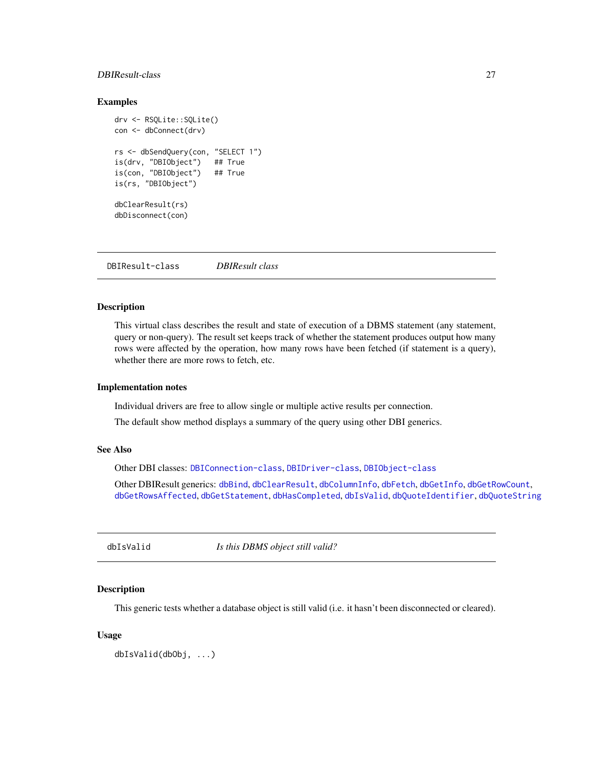## <span id="page-26-0"></span>DBIResult-class 27

## Examples

```
drv <- RSQLite::SQLite()
con <- dbConnect(drv)
rs <- dbSendQuery(con, "SELECT 1")
is(drv, "DBIObject") ## True
is(con, "DBIObject") ## True
is(rs, "DBIObject")
dbClearResult(rs)
dbDisconnect(con)
```
<span id="page-26-1"></span>DBIResult-class *DBIResult class*

## Description

This virtual class describes the result and state of execution of a DBMS statement (any statement, query or non-query). The result set keeps track of whether the statement produces output how many rows were affected by the operation, how many rows have been fetched (if statement is a query), whether there are more rows to fetch, etc.

## Implementation notes

Individual drivers are free to allow single or multiple active results per connection.

The default show method displays a summary of the query using other DBI generics.

#### See Also

Other DBI classes: [DBIConnection-class](#page-24-1), [DBIDriver-class](#page-25-1), [DBIObject-class](#page-25-2)

Other DBIResult generics: [dbBind](#page-3-1), [dbClearResult](#page-5-1), [dbColumnInfo](#page-6-1), [dbFetch](#page-14-1), [dbGetInfo](#page-17-1), [dbGetRowCount](#page-20-1), [dbGetRowsAffected](#page-21-1), [dbGetStatement](#page-22-1), [dbHasCompleted](#page-23-1), [dbIsValid](#page-26-2), [dbQuoteIdentifier](#page-31-1), [dbQuoteString](#page-32-1)

<span id="page-26-2"></span>dbIsValid *Is this DBMS object still valid?*

#### Description

This generic tests whether a database object is still valid (i.e. it hasn't been disconnected or cleared).

## Usage

dbIsValid(dbObj, ...)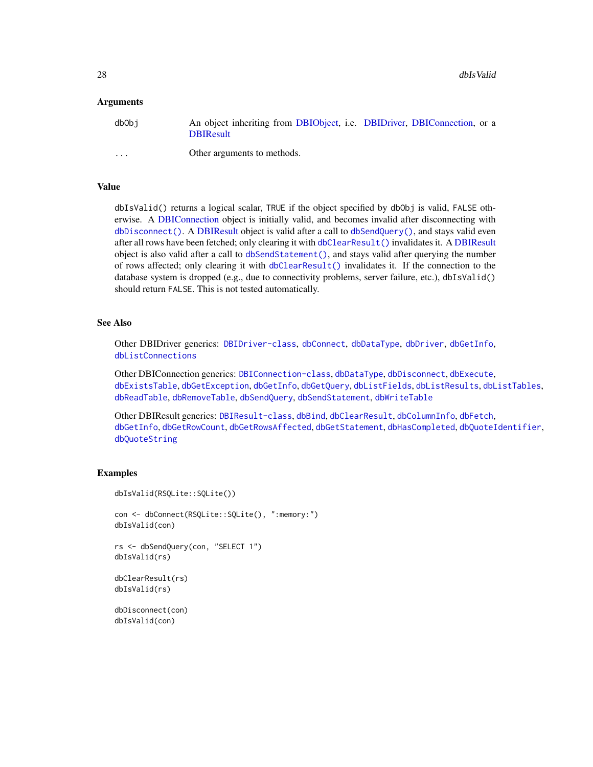## <span id="page-27-0"></span>**Arguments**

| dbObi    | An object inheriting from DBIObject, i.e. DBIDriver, DBIConnection, or a<br><b>DBIResult</b> |  |  |
|----------|----------------------------------------------------------------------------------------------|--|--|
| $\cdots$ | Other arguments to methods.                                                                  |  |  |

## Value

dbIsValid() returns a logical scalar, TRUE if the object specified by dbObj is valid, FALSE otherwise. A [DBIConnection](#page-24-1) object is initially valid, and becomes invalid after disconnecting with [dbDisconnect\(\)](#page-10-1). A [DBIResult](#page-26-1) object is valid after a call to [dbSendQuery\(\)](#page-36-1), and stays valid even after all rows have been fetched; only clearing it with [dbClearResult\(\)](#page-5-1) invalidates it. A [DBIResult](#page-26-1) object is also valid after a call to [dbSendStatement\(\)](#page-37-1), and stays valid after querying the number of rows affected; only clearing it with [dbClearResult\(\)](#page-5-1) invalidates it. If the connection to the database system is dropped (e.g., due to connectivity problems, server failure, etc.), dbIsValid() should return FALSE. This is not tested automatically.

## See Also

Other DBIDriver generics: [DBIDriver-class](#page-25-1), [dbConnect](#page-7-1), [dbDataType](#page-8-1), [dbDriver](#page-11-1), [dbGetInfo](#page-17-1), [dbListConnections](#page-28-1)

Other DBIConnection generics: [DBIConnection-class](#page-24-1), [dbDataType](#page-8-1), [dbDisconnect](#page-10-1), [dbExecute](#page-12-1), [dbExistsTable](#page-13-1), [dbGetException](#page-17-2), [dbGetInfo](#page-17-1), [dbGetQuery](#page-18-1), [dbListFields](#page-28-2), [dbListResults](#page-29-1), [dbListTables](#page-30-1), [dbReadTable](#page-33-1), [dbRemoveTable](#page-35-1), [dbSendQuery](#page-36-1), [dbSendStatement](#page-37-1), [dbWriteTable](#page-40-1)

Other DBIResult generics: [DBIResult-class](#page-26-1), [dbBind](#page-3-1), [dbClearResult](#page-5-1), [dbColumnInfo](#page-6-1), [dbFetch](#page-14-1), [dbGetInfo](#page-17-1), [dbGetRowCount](#page-20-1), [dbGetRowsAffected](#page-21-1), [dbGetStatement](#page-22-1), [dbHasCompleted](#page-23-1), [dbQuoteIdentifier](#page-31-1), [dbQuoteString](#page-32-1)

## Examples

```
dbIsValid(RSQLite::SQLite())
con <- dbConnect(RSQLite::SQLite(), ":memory:")
dbIsValid(con)
rs <- dbSendQuery(con, "SELECT 1")
dbIsValid(rs)
dbClearResult(rs)
dbIsValid(rs)
dbDisconnect(con)
dbIsValid(con)
```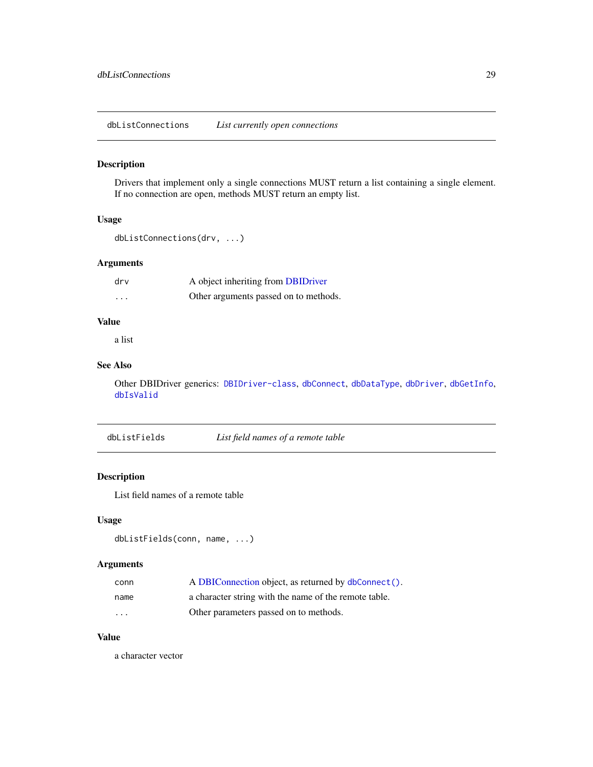<span id="page-28-1"></span><span id="page-28-0"></span>dbListConnections *List currently open connections*

## Description

Drivers that implement only a single connections MUST return a list containing a single element. If no connection are open, methods MUST return an empty list.

## Usage

```
dbListConnections(drv, ...)
```
## Arguments

| drv      | A object inheriting from DBIDriver    |
|----------|---------------------------------------|
| $\cdots$ | Other arguments passed on to methods. |

## Value

a list

## See Also

Other DBIDriver generics: [DBIDriver-class](#page-25-1), [dbConnect](#page-7-1), [dbDataType](#page-8-1), [dbDriver](#page-11-1), [dbGetInfo](#page-17-1), [dbIsValid](#page-26-2)

<span id="page-28-2"></span>dbListFields *List field names of a remote table*

## Description

List field names of a remote table

## Usage

```
dbListFields(conn, name, ...)
```
## Arguments

| conn                    | A DBIConnection object, as returned by dbConnect().   |
|-------------------------|-------------------------------------------------------|
| name                    | a character string with the name of the remote table. |
| $\cdot$ $\cdot$ $\cdot$ | Other parameters passed on to methods.                |

## Value

a character vector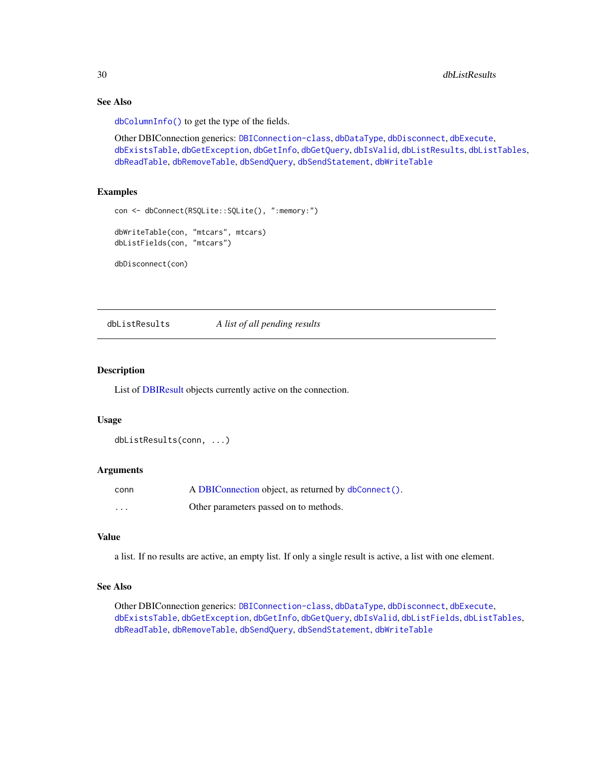## See Also

[dbColumnInfo\(\)](#page-6-1) to get the type of the fields.

Other DBIConnection generics: [DBIConnection-class](#page-24-1), [dbDataType](#page-8-1), [dbDisconnect](#page-10-1), [dbExecute](#page-12-1), [dbExistsTable](#page-13-1), [dbGetException](#page-17-2), [dbGetInfo](#page-17-1), [dbGetQuery](#page-18-1), [dbIsValid](#page-26-2), [dbListResults](#page-29-1), [dbListTables](#page-30-1), [dbReadTable](#page-33-1), [dbRemoveTable](#page-35-1), [dbSendQuery](#page-36-1), [dbSendStatement](#page-37-1), [dbWriteTable](#page-40-1)

## Examples

```
con <- dbConnect(RSQLite::SQLite(), ":memory:")
dbWriteTable(con, "mtcars", mtcars)
dbListFields(con, "mtcars")
dbDisconnect(con)
```
<span id="page-29-1"></span>dbListResults *A list of all pending results*

## Description

List of [DBIResult](#page-26-1) objects currently active on the connection.

## Usage

dbListResults(conn, ...)

## **Arguments**

| conn | A DBIConnection object, as returned by dbConnect(). |
|------|-----------------------------------------------------|
| .    | Other parameters passed on to methods.              |

### Value

a list. If no results are active, an empty list. If only a single result is active, a list with one element.

## See Also

Other DBIConnection generics: [DBIConnection-class](#page-24-1), [dbDataType](#page-8-1), [dbDisconnect](#page-10-1), [dbExecute](#page-12-1), [dbExistsTable](#page-13-1), [dbGetException](#page-17-2), [dbGetInfo](#page-17-1), [dbGetQuery](#page-18-1), [dbIsValid](#page-26-2), [dbListFields](#page-28-2), [dbListTables](#page-30-1), [dbReadTable](#page-33-1), [dbRemoveTable](#page-35-1), [dbSendQuery](#page-36-1), [dbSendStatement](#page-37-1), [dbWriteTable](#page-40-1)

<span id="page-29-0"></span>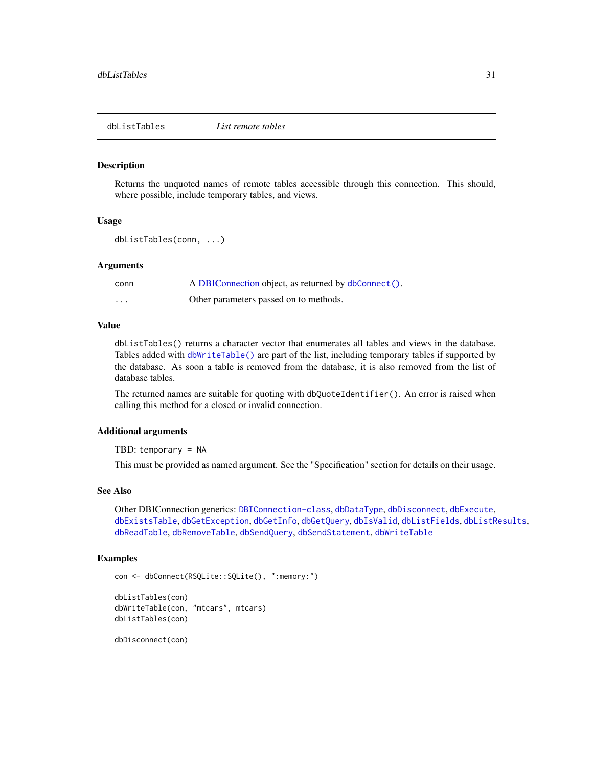<span id="page-30-1"></span><span id="page-30-0"></span>dbListTables *List remote tables*

#### Description

Returns the unquoted names of remote tables accessible through this connection. This should, where possible, include temporary tables, and views.

#### Usage

```
dbListTables(conn, ...)
```
## Arguments

| conn | A DBIConnection object, as returned by dbConnect(). |
|------|-----------------------------------------------------|
| .    | Other parameters passed on to methods.              |

## Value

dbListTables() returns a character vector that enumerates all tables and views in the database. Tables added with [dbWriteTable\(\)](#page-40-1) are part of the list, including temporary tables if supported by the database. As soon a table is removed from the database, it is also removed from the list of database tables.

The returned names are suitable for quoting with dbQuoteIdentifier(). An error is raised when calling this method for a closed or invalid connection.

## Additional arguments

TBD: temporary = NA

This must be provided as named argument. See the "Specification" section for details on their usage.

## See Also

Other DBIConnection generics: [DBIConnection-class](#page-24-1), [dbDataType](#page-8-1), [dbDisconnect](#page-10-1), [dbExecute](#page-12-1), [dbExistsTable](#page-13-1), [dbGetException](#page-17-2), [dbGetInfo](#page-17-1), [dbGetQuery](#page-18-1), [dbIsValid](#page-26-2), [dbListFields](#page-28-2), [dbListResults](#page-29-1), [dbReadTable](#page-33-1), [dbRemoveTable](#page-35-1), [dbSendQuery](#page-36-1), [dbSendStatement](#page-37-1), [dbWriteTable](#page-40-1)

## Examples

```
con <- dbConnect(RSQLite::SQLite(), ":memory:")
dbListTables(con)
dbWriteTable(con, "mtcars", mtcars)
dbListTables(con)
```
dbDisconnect(con)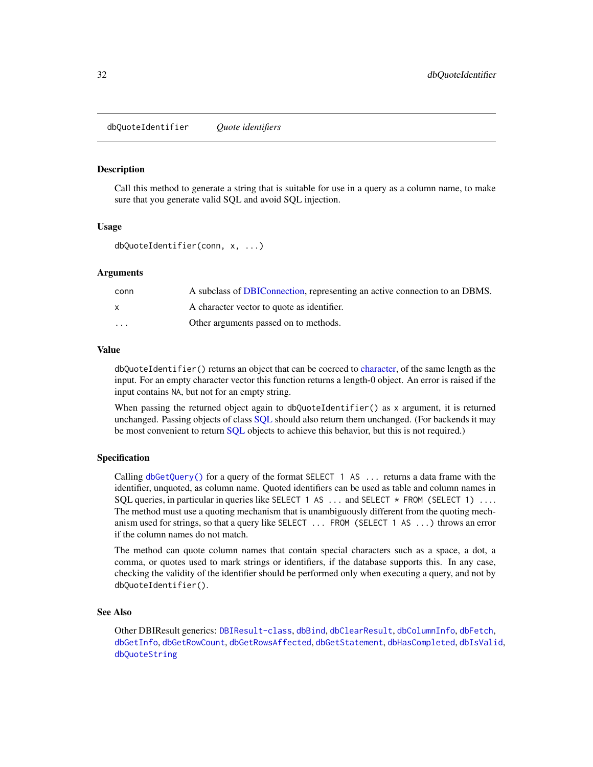<span id="page-31-1"></span><span id="page-31-0"></span>dbQuoteIdentifier *Quote identifiers*

## **Description**

Call this method to generate a string that is suitable for use in a query as a column name, to make sure that you generate valid SQL and avoid SQL injection.

## Usage

dbQuoteIdentifier(conn, x, ...)

## Arguments

| conn                    | A subclass of DBIConnection, representing an active connection to an DBMS. |
|-------------------------|----------------------------------------------------------------------------|
|                         | A character vector to quote as identifier.                                 |
| $\cdot$ $\cdot$ $\cdot$ | Other arguments passed on to methods.                                      |

## Value

dbQuoteIdentifier() returns an object that can be coerced to [character,](#page-0-0) of the same length as the input. For an empty character vector this function returns a length-0 object. An error is raised if the input contains NA, but not for an empty string.

When passing the returned object again to dbQuoteIdentifier() as x argument, it is returned unchanged. Passing objects of class [SQL](#page-45-1) should also return them unchanged. (For backends it may be most convenient to return [SQL](#page-45-1) objects to achieve this behavior, but this is not required.)

## Specification

Calling  $dbGetQuery()$  for a query of the format SELECT 1 AS ... returns a data frame with the identifier, unquoted, as column name. Quoted identifiers can be used as table and column names in SQL queries, in particular in queries like SELECT 1 AS  $\dots$  and SELECT  $*$  FROM (SELECT 1)  $\dots$ The method must use a quoting mechanism that is unambiguously different from the quoting mechanism used for strings, so that a query like SELECT ... FROM (SELECT 1 AS ...) throws an error if the column names do not match.

The method can quote column names that contain special characters such as a space, a dot, a comma, or quotes used to mark strings or identifiers, if the database supports this. In any case, checking the validity of the identifier should be performed only when executing a query, and not by dbQuoteIdentifier().

## See Also

Other DBIResult generics: [DBIResult-class](#page-26-1), [dbBind](#page-3-1), [dbClearResult](#page-5-1), [dbColumnInfo](#page-6-1), [dbFetch](#page-14-1), [dbGetInfo](#page-17-1), [dbGetRowCount](#page-20-1), [dbGetRowsAffected](#page-21-1), [dbGetStatement](#page-22-1), [dbHasCompleted](#page-23-1), [dbIsValid](#page-26-2), [dbQuoteString](#page-32-1)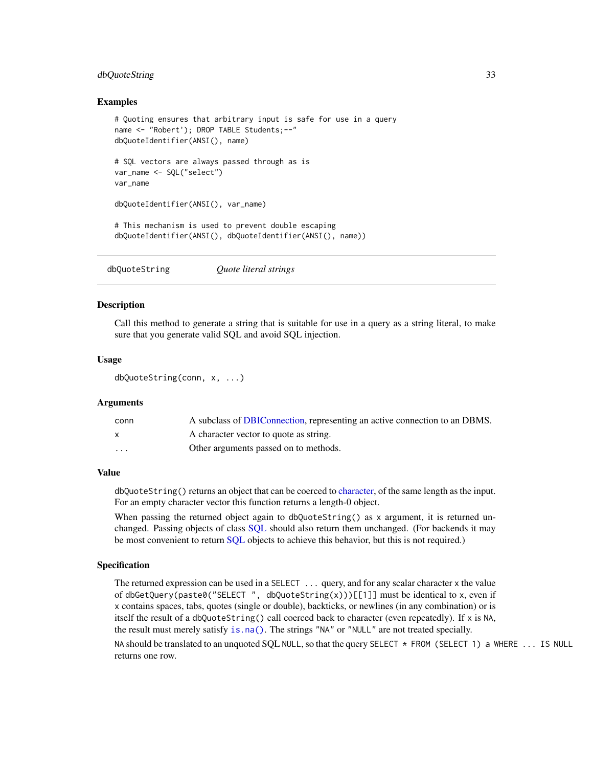## <span id="page-32-0"></span>dbQuoteString 33

## Examples

```
# Quoting ensures that arbitrary input is safe for use in a query
name <- "Robert'); DROP TABLE Students;--"
dbQuoteIdentifier(ANSI(), name)
# SQL vectors are always passed through as is
var_name <- SQL("select")
var_name
dbQuoteIdentifier(ANSI(), var_name)
# This mechanism is used to prevent double escaping
dbQuoteIdentifier(ANSI(), dbQuoteIdentifier(ANSI(), name))
```
<span id="page-32-1"></span>

| dbQuoteString | Quote literal strings |  |
|---------------|-----------------------|--|
|---------------|-----------------------|--|

## **Description**

Call this method to generate a string that is suitable for use in a query as a string literal, to make sure that you generate valid SQL and avoid SQL injection.

## Usage

```
dbQuoteString(conn, x, ...)
```
#### Arguments

| conn     | A subclass of DBIConnection, representing an active connection to an DBMS. |
|----------|----------------------------------------------------------------------------|
|          | A character vector to quote as string.                                     |
| $\cdots$ | Other arguments passed on to methods.                                      |

## Value

dbQuoteString() returns an object that can be coerced to [character,](#page-0-0) of the same length as the input. For an empty character vector this function returns a length-0 object.

When passing the returned object again to dbQuoteString() as x argument, it is returned unchanged. Passing objects of class [SQL](#page-45-1) should also return them unchanged. (For backends it may be most convenient to return [SQL](#page-45-1) objects to achieve this behavior, but this is not required.)

## Specification

The returned expression can be used in a SELECT ... query, and for any scalar character x the value of dbGetQuery(paste0("SELECT", dbQuoteString(x)))[[1]] must be identical to x, even if x contains spaces, tabs, quotes (single or double), backticks, or newlines (in any combination) or is itself the result of a dbQuoteString() call coerced back to character (even repeatedly). If x is NA, the result must merely satisfy [is.na\(\)](#page-0-0). The strings "NA" or "NULL" are not treated specially.

NA should be translated to an unquoted SQL NULL, so that the query SELECT \* FROM (SELECT 1) a WHERE ... IS NULL returns one row.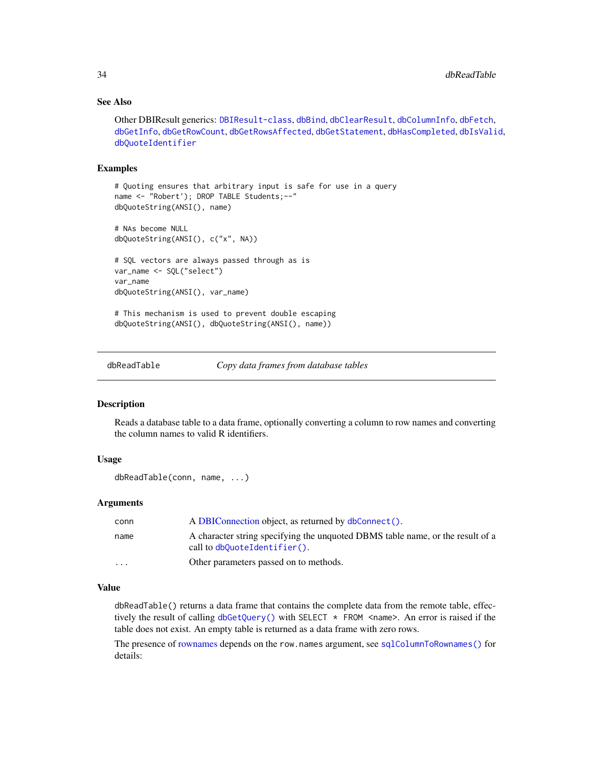## See Also

Other DBIResult generics: [DBIResult-class](#page-26-1), [dbBind](#page-3-1), [dbClearResult](#page-5-1), [dbColumnInfo](#page-6-1), [dbFetch](#page-14-1), [dbGetInfo](#page-17-1), [dbGetRowCount](#page-20-1), [dbGetRowsAffected](#page-21-1), [dbGetStatement](#page-22-1), [dbHasCompleted](#page-23-1), [dbIsValid](#page-26-2), [dbQuoteIdentifier](#page-31-1)

## Examples

```
# Quoting ensures that arbitrary input is safe for use in a query
name <- "Robert'); DROP TABLE Students; --"
dbQuoteString(ANSI(), name)
# NAs become NULL
dbQuoteString(ANSI(), c("x", NA))
# SQL vectors are always passed through as is
var_name <- SQL("select")
var_name
dbQuoteString(ANSI(), var_name)
# This mechanism is used to prevent double escaping
dbQuoteString(ANSI(), dbQuoteString(ANSI(), name))
```
<span id="page-33-1"></span>

dbReadTable *Copy data frames from database tables*

## **Description**

Reads a database table to a data frame, optionally converting a column to row names and converting the column names to valid R identifiers.

## Usage

```
dbReadTable(conn, name, ...)
```
## Arguments

| conn                    | A DBIConnection object, as returned by dbConnect().                                                               |
|-------------------------|-------------------------------------------------------------------------------------------------------------------|
| name                    | A character string specifying the unquoted DBMS table name, or the result of a<br>call to $dbQuoteIdentifier()$ . |
| $\cdot$ $\cdot$ $\cdot$ | Other parameters passed on to methods.                                                                            |

## Value

dbReadTable() returns a data frame that contains the complete data from the remote table, effectively the result of calling  $dbGetQuery()$  with SELECT  $*$  FROM <name>. An error is raised if the table does not exist. An empty table is returned as a data frame with zero rows.

The presence of [rownames](#page-44-1) depends on the row.names argument, see [sqlColumnToRownames\(\)](#page-44-2) for details:

<span id="page-33-0"></span>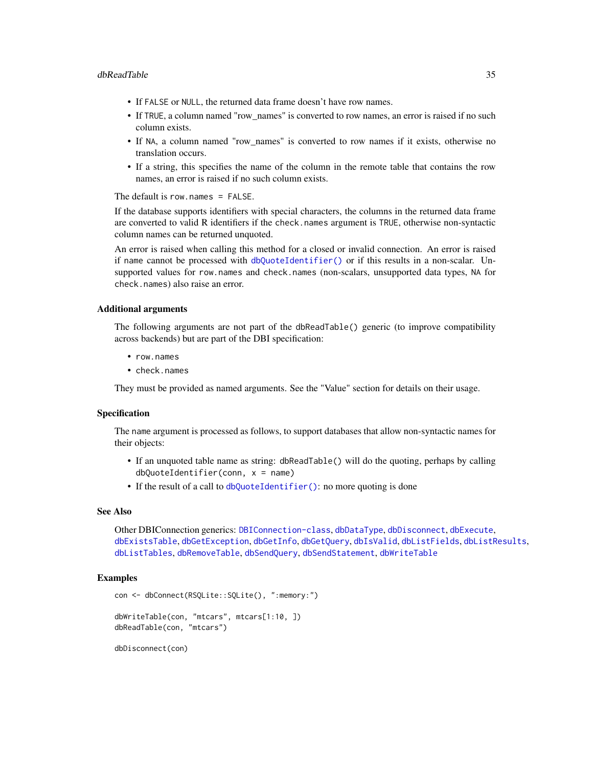- <span id="page-34-0"></span>• If FALSE or NULL, the returned data frame doesn't have row names.
- If TRUE, a column named "row\_names" is converted to row names, an error is raised if no such column exists.
- If NA, a column named "row\_names" is converted to row names if it exists, otherwise no translation occurs.
- If a string, this specifies the name of the column in the remote table that contains the row names, an error is raised if no such column exists.

The default is row.names = FALSE.

If the database supports identifiers with special characters, the columns in the returned data frame are converted to valid R identifiers if the check.names argument is TRUE, otherwise non-syntactic column names can be returned unquoted.

An error is raised when calling this method for a closed or invalid connection. An error is raised if name cannot be processed with [dbQuoteIdentifier\(\)](#page-31-1) or if this results in a non-scalar. Unsupported values for row.names and check.names (non-scalars, unsupported data types, NA for check.names) also raise an error.

## Additional arguments

The following arguments are not part of the dbReadTable() generic (to improve compatibility across backends) but are part of the DBI specification:

- row.names
- check.names

They must be provided as named arguments. See the "Value" section for details on their usage.

## Specification

The name argument is processed as follows, to support databases that allow non-syntactic names for their objects:

- If an unquoted table name as string: dbReadTable() will do the quoting, perhaps by calling dbQuoteIdentifier(conn, x = name)
- If the result of a call to [dbQuoteIdentifier\(\)](#page-31-1): no more quoting is done

## See Also

Other DBIConnection generics: [DBIConnection-class](#page-24-1), [dbDataType](#page-8-1), [dbDisconnect](#page-10-1), [dbExecute](#page-12-1), [dbExistsTable](#page-13-1), [dbGetException](#page-17-2), [dbGetInfo](#page-17-1), [dbGetQuery](#page-18-1), [dbIsValid](#page-26-2), [dbListFields](#page-28-2), [dbListResults](#page-29-1), [dbListTables](#page-30-1), [dbRemoveTable](#page-35-1), [dbSendQuery](#page-36-1), [dbSendStatement](#page-37-1), [dbWriteTable](#page-40-1)

## Examples

```
con <- dbConnect(RSQLite::SQLite(), ":memory:")
dbWriteTable(con, "mtcars", mtcars[1:10, ])
dbReadTable(con, "mtcars")
```
dbDisconnect(con)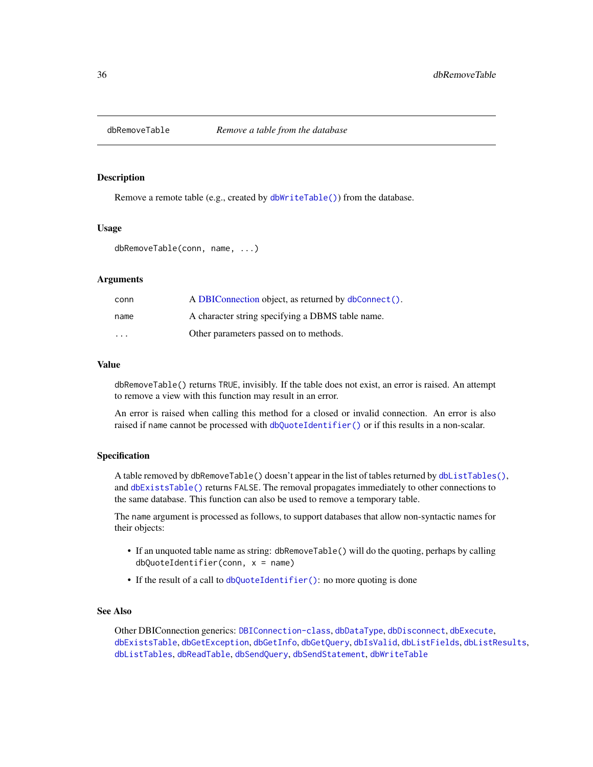<span id="page-35-1"></span><span id="page-35-0"></span>

Remove a remote table (e.g., created by [dbWriteTable\(\)](#page-40-1)) from the database.

## Usage

```
dbRemoveTable(conn, name, ...)
```
## Arguments

| conn                    | A DBIConnection object, as returned by dbConnect(). |
|-------------------------|-----------------------------------------------------|
| name                    | A character string specifying a DBMS table name.    |
| $\cdot$ $\cdot$ $\cdot$ | Other parameters passed on to methods.              |

## Value

dbRemoveTable() returns TRUE, invisibly. If the table does not exist, an error is raised. An attempt to remove a view with this function may result in an error.

An error is raised when calling this method for a closed or invalid connection. An error is also raised if name cannot be processed with [dbQuoteIdentifier\(\)](#page-31-1) or if this results in a non-scalar.

## Specification

A table removed by dbRemoveTable() doesn't appear in the list of tables returned by [dbListTables\(\)](#page-30-1), and [dbExistsTable\(\)](#page-13-1) returns FALSE. The removal propagates immediately to other connections to the same database. This function can also be used to remove a temporary table.

The name argument is processed as follows, to support databases that allow non-syntactic names for their objects:

- If an unquoted table name as string: dbRemoveTable() will do the quoting, perhaps by calling dbQuoteIdentifier(conn, x = name)
- If the result of a call to [dbQuoteIdentifier\(\)](#page-31-1): no more quoting is done

#### See Also

Other DBIConnection generics: [DBIConnection-class](#page-24-1), [dbDataType](#page-8-1), [dbDisconnect](#page-10-1), [dbExecute](#page-12-1), [dbExistsTable](#page-13-1), [dbGetException](#page-17-2), [dbGetInfo](#page-17-1), [dbGetQuery](#page-18-1), [dbIsValid](#page-26-2), [dbListFields](#page-28-2), [dbListResults](#page-29-1), [dbListTables](#page-30-1), [dbReadTable](#page-33-1), [dbSendQuery](#page-36-1), [dbSendStatement](#page-37-1), [dbWriteTable](#page-40-1)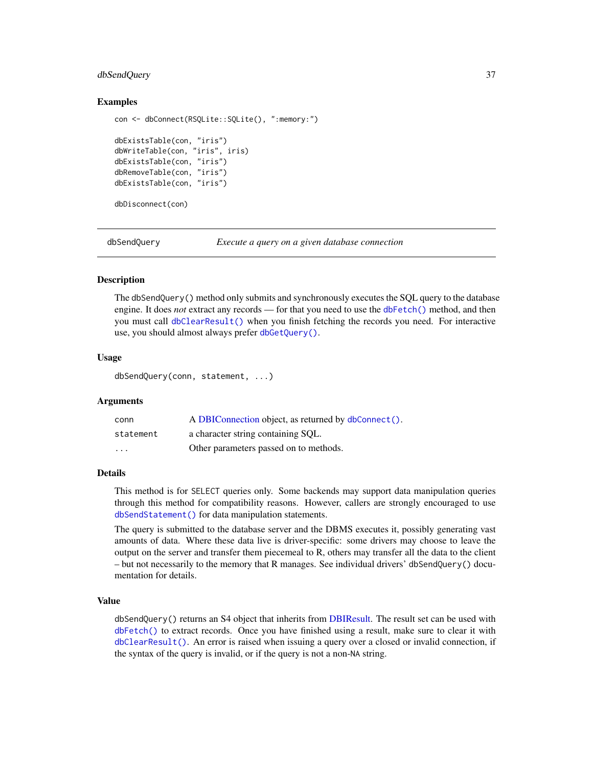## <span id="page-36-0"></span>dbSendQuery 37

## Examples

```
con <- dbConnect(RSQLite::SQLite(), ":memory:")
dbExistsTable(con, "iris")
dbWriteTable(con, "iris", iris)
dbExistsTable(con, "iris")
dbRemoveTable(con, "iris")
dbExistsTable(con, "iris")
```
dbDisconnect(con)

<span id="page-36-1"></span>

dbSendQuery *Execute a query on a given database connection*

#### Description

The dbSendQuery() method only submits and synchronously executes the SQL query to the database engine. It does *not* extract any records — for that you need to use the [dbFetch\(\)](#page-14-1) method, and then you must call [dbClearResult\(\)](#page-5-1) when you finish fetching the records you need. For interactive use, you should almost always prefer [dbGetQuery\(\)](#page-18-1).

## Usage

dbSendQuery(conn, statement, ...)

#### Arguments

| conn      | A DBIConnection object, as returned by dbConnect(). |
|-----------|-----------------------------------------------------|
| statement | a character string containing SQL.                  |
| $\cdot$   | Other parameters passed on to methods.              |

## Details

This method is for SELECT queries only. Some backends may support data manipulation queries through this method for compatibility reasons. However, callers are strongly encouraged to use [dbSendStatement\(\)](#page-37-1) for data manipulation statements.

The query is submitted to the database server and the DBMS executes it, possibly generating vast amounts of data. Where these data live is driver-specific: some drivers may choose to leave the output on the server and transfer them piecemeal to R, others may transfer all the data to the client – but not necessarily to the memory that R manages. See individual drivers' dbSendQuery() documentation for details.

## Value

dbSendQuery() returns an S4 object that inherits from [DBIResult.](#page-26-1) The result set can be used with [dbFetch\(\)](#page-14-1) to extract records. Once you have finished using a result, make sure to clear it with [dbClearResult\(\)](#page-5-1). An error is raised when issuing a query over a closed or invalid connection, if the syntax of the query is invalid, or if the query is not a non-NA string.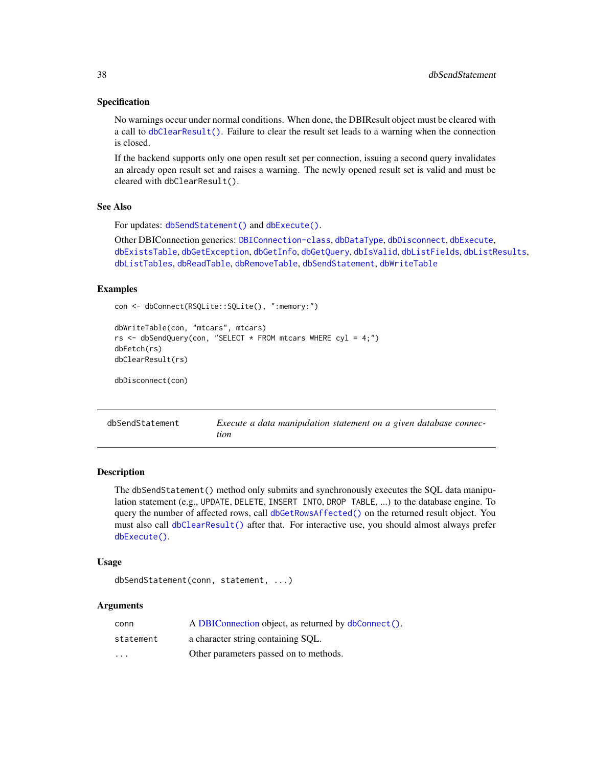## <span id="page-37-0"></span>Specification

No warnings occur under normal conditions. When done, the DBIResult object must be cleared with a call to [dbClearResult\(\)](#page-5-1). Failure to clear the result set leads to a warning when the connection is closed.

If the backend supports only one open result set per connection, issuing a second query invalidates an already open result set and raises a warning. The newly opened result set is valid and must be cleared with dbClearResult().

### See Also

```
For updates: dbSendStatement() and dbExecute().
```
Other DBIConnection generics: [DBIConnection-class](#page-24-1), [dbDataType](#page-8-1), [dbDisconnect](#page-10-1), [dbExecute](#page-12-1), [dbExistsTable](#page-13-1), [dbGetException](#page-17-2), [dbGetInfo](#page-17-1), [dbGetQuery](#page-18-1), [dbIsValid](#page-26-2), [dbListFields](#page-28-2), [dbListResults](#page-29-1), [dbListTables](#page-30-1), [dbReadTable](#page-33-1), [dbRemoveTable](#page-35-1), [dbSendStatement](#page-37-1), [dbWriteTable](#page-40-1)

#### Examples

```
con <- dbConnect(RSQLite::SQLite(), ":memory:")
```

```
dbWriteTable(con, "mtcars", mtcars)
rs <- dbSendQuery(con, "SELECT * FROM mtcars WHERE cyl = 4;")
dbFetch(rs)
dbClearResult(rs)
dbDisconnect(con)
```
<span id="page-37-1"></span>

| dbSendStatement | Execute a data manipulation statement on a given database connec- |  |
|-----------------|-------------------------------------------------------------------|--|
|                 | tion                                                              |  |

#### Description

The dbSendStatement() method only submits and synchronously executes the SQL data manipulation statement (e.g., UPDATE, DELETE, INSERT INTO, DROP TABLE, ...) to the database engine. To query the number of affected rows, call [dbGetRowsAffected\(\)](#page-21-1) on the returned result object. You must also call [dbClearResult\(\)](#page-5-1) after that. For interactive use, you should almost always prefer [dbExecute\(\)](#page-12-1).

## Usage

```
dbSendStatement(conn, statement, ...)
```

| conn                    | A DBIConnection object, as returned by dbConnect(). |
|-------------------------|-----------------------------------------------------|
| statement               | a character string containing SQL.                  |
| $\cdot$ $\cdot$ $\cdot$ | Other parameters passed on to methods.              |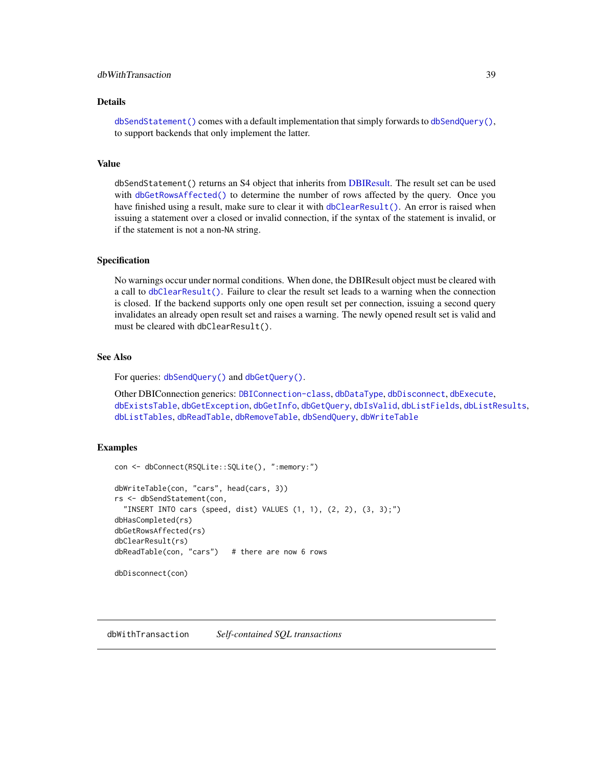## <span id="page-38-0"></span>dbWithTransaction 39

## Details

[dbSendStatement\(\)](#page-37-1) comes with a default implementation that simply forwards to [dbSendQuery\(\)](#page-36-1), to support backends that only implement the latter.

## Value

dbSendStatement() returns an S4 object that inherits from [DBIResult.](#page-26-1) The result set can be used with [dbGetRowsAffected\(\)](#page-21-1) to determine the number of rows affected by the query. Once you have finished using a result, make sure to clear it with  $dbClearResult()$ . An error is raised when issuing a statement over a closed or invalid connection, if the syntax of the statement is invalid, or if the statement is not a non-NA string.

## Specification

No warnings occur under normal conditions. When done, the DBIResult object must be cleared with a call to [dbClearResult\(\)](#page-5-1). Failure to clear the result set leads to a warning when the connection is closed. If the backend supports only one open result set per connection, issuing a second query invalidates an already open result set and raises a warning. The newly opened result set is valid and must be cleared with dbClearResult().

## See Also

For queries: [dbSendQuery\(\)](#page-36-1) and [dbGetQuery\(\)](#page-18-1).

Other DBIConnection generics: [DBIConnection-class](#page-24-1), [dbDataType](#page-8-1), [dbDisconnect](#page-10-1), [dbExecute](#page-12-1), [dbExistsTable](#page-13-1), [dbGetException](#page-17-2), [dbGetInfo](#page-17-1), [dbGetQuery](#page-18-1), [dbIsValid](#page-26-2), [dbListFields](#page-28-2), [dbListResults](#page-29-1), [dbListTables](#page-30-1), [dbReadTable](#page-33-1), [dbRemoveTable](#page-35-1), [dbSendQuery](#page-36-1), [dbWriteTable](#page-40-1)

## Examples

```
con <- dbConnect(RSQLite::SQLite(), ":memory:")
dbWriteTable(con, "cars", head(cars, 3))
rs <- dbSendStatement(con,
  "INSERT INTO cars (speed, dist) VALUES (1, 1), (2, 2), (3, 3);")
dbHasCompleted(rs)
dbGetRowsAffected(rs)
dbClearResult(rs)
dbReadTable(con, "cars") # there are now 6 rows
dbDisconnect(con)
```
<span id="page-38-1"></span>dbWithTransaction *Self-contained SQL transactions*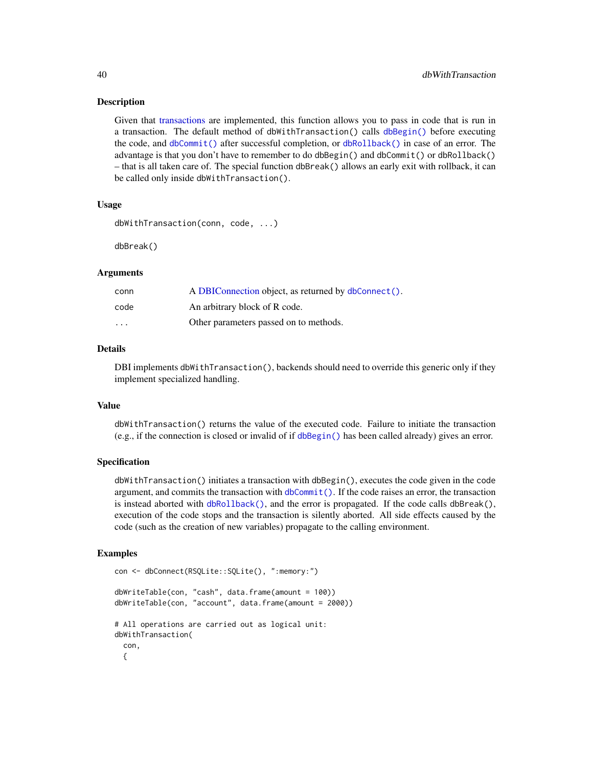Given that [transactions](#page-50-1) are implemented, this function allows you to pass in code that is run in a transaction. The default method of dbWithTransaction() calls [dbBegin\(\)](#page-50-2) before executing the code, and [dbCommit\(\)](#page-50-2) after successful completion, or [dbRollback\(\)](#page-50-2) in case of an error. The advantage is that you don't have to remember to do dbBegin() and dbCommit() or dbRollback() – that is all taken care of. The special function dbBreak() allows an early exit with rollback, it can be called only inside dbWithTransaction().

## Usage

```
dbWithTransaction(conn, code, ...)
```
dbBreak()

## Arguments

| conn     | A DBIConnection object, as returned by dbConnect(). |
|----------|-----------------------------------------------------|
| code     | An arbitrary block of R code.                       |
| $\cdots$ | Other parameters passed on to methods.              |

## Details

DBI implements dbWithTransaction(), backends should need to override this generic only if they implement specialized handling.

## Value

dbWithTransaction() returns the value of the executed code. Failure to initiate the transaction (e.g., if the connection is closed or invalid of if [dbBegin\(\)](#page-50-2) has been called already) gives an error.

#### Specification

dbWithTransaction() initiates a transaction with dbBegin(), executes the code given in the code argument, and commits the transaction with  $dbCommit()$ . If the code raises an error, the transaction is instead aborted with [dbRollback\(\)](#page-50-2), and the error is propagated. If the code calls dbBreak(), execution of the code stops and the transaction is silently aborted. All side effects caused by the code (such as the creation of new variables) propagate to the calling environment.

#### Examples

```
con <- dbConnect(RSQLite::SQLite(), ":memory:")
dbWriteTable(con, "cash", data.frame(amount = 100))
dbWriteTable(con, "account", data.frame(amount = 2000))
# All operations are carried out as logical unit:
dbWithTransaction(
 con,
 {
```
<span id="page-39-0"></span>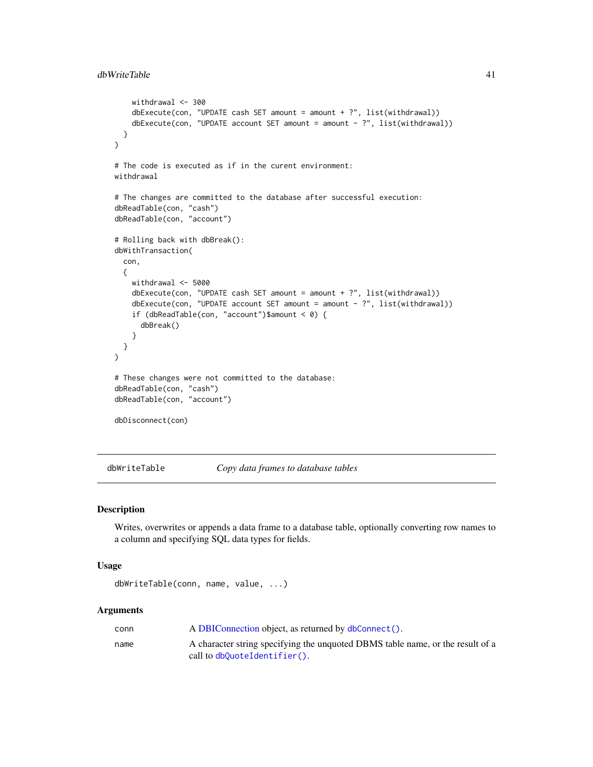```
withdrawal <- 300
   dbExecute(con, "UPDATE cash SET amount = amount + ?", list(withthdrawal))dbExecute(con, "UPDATE account SET amount = amount - ?", list(withdrawal))
 }
)
# The code is executed as if in the curent environment:
withdrawal
# The changes are committed to the database after successful execution:
dbReadTable(con, "cash")
dbReadTable(con, "account")
# Rolling back with dbBreak():
dbWithTransaction(
 con,
 {
   withdrawal <- 5000
   dbExecute(con, "UPDATE cash SET amount = amount + ?", list(withdrawal))
   dbExecute(con, "UPDATE account SET amount = amount - ?", list(withdrawal))if (dbReadTable(con, "account")$amount < 0) {
     dbBreak()
    }
 }
)
# These changes were not committed to the database:
dbReadTable(con, "cash")
dbReadTable(con, "account")
dbDisconnect(con)
```
<span id="page-40-1"></span>dbWriteTable *Copy data frames to database tables*

## Description

Writes, overwrites or appends a data frame to a database table, optionally converting row names to a column and specifying SQL data types for fields.

## Usage

```
dbWriteTable(conn, name, value, ...)
```

| conn | A DBIConnection object, as returned by dbConnect().                            |
|------|--------------------------------------------------------------------------------|
| name | A character string specifying the unquoted DBMS table name, or the result of a |
|      | call to $dbQuoteIdentifier()$ .                                                |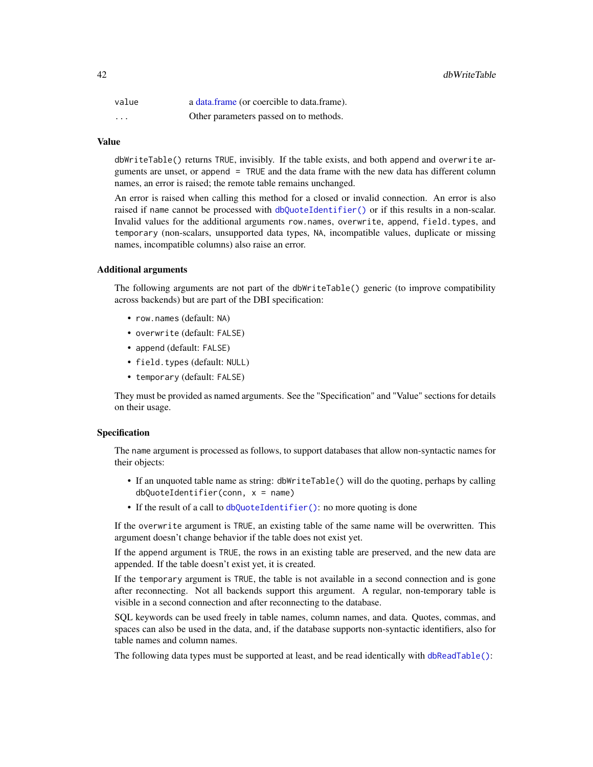<span id="page-41-0"></span>

| value    | a data.frame (or coercible to data.frame). |
|----------|--------------------------------------------|
| $\cdots$ | Other parameters passed on to methods.     |

#### Value

dbWriteTable() returns TRUE, invisibly. If the table exists, and both append and overwrite arguments are unset, or append = TRUE and the data frame with the new data has different column names, an error is raised; the remote table remains unchanged.

An error is raised when calling this method for a closed or invalid connection. An error is also raised if name cannot be processed with [dbQuoteIdentifier\(\)](#page-31-1) or if this results in a non-scalar. Invalid values for the additional arguments row.names, overwrite, append, field.types, and temporary (non-scalars, unsupported data types, NA, incompatible values, duplicate or missing names, incompatible columns) also raise an error.

## Additional arguments

The following arguments are not part of the dbWriteTable() generic (to improve compatibility across backends) but are part of the DBI specification:

- row.names (default: NA)
- overwrite (default: FALSE)
- append (default: FALSE)
- field.types (default: NULL)
- temporary (default: FALSE)

They must be provided as named arguments. See the "Specification" and "Value" sections for details on their usage.

## Specification

The name argument is processed as follows, to support databases that allow non-syntactic names for their objects:

- If an unquoted table name as string: dbWriteTable() will do the quoting, perhaps by calling  $dbQuoteIdentifier(conn, x = name)$
- If the result of a call to [dbQuoteIdentifier\(\)](#page-31-1): no more quoting is done

If the overwrite argument is TRUE, an existing table of the same name will be overwritten. This argument doesn't change behavior if the table does not exist yet.

If the append argument is TRUE, the rows in an existing table are preserved, and the new data are appended. If the table doesn't exist yet, it is created.

If the temporary argument is TRUE, the table is not available in a second connection and is gone after reconnecting. Not all backends support this argument. A regular, non-temporary table is visible in a second connection and after reconnecting to the database.

SQL keywords can be used freely in table names, column names, and data. Quotes, commas, and spaces can also be used in the data, and, if the database supports non-syntactic identifiers, also for table names and column names.

The following data types must be supported at least, and be read identically with [dbReadTable\(\)](#page-33-1):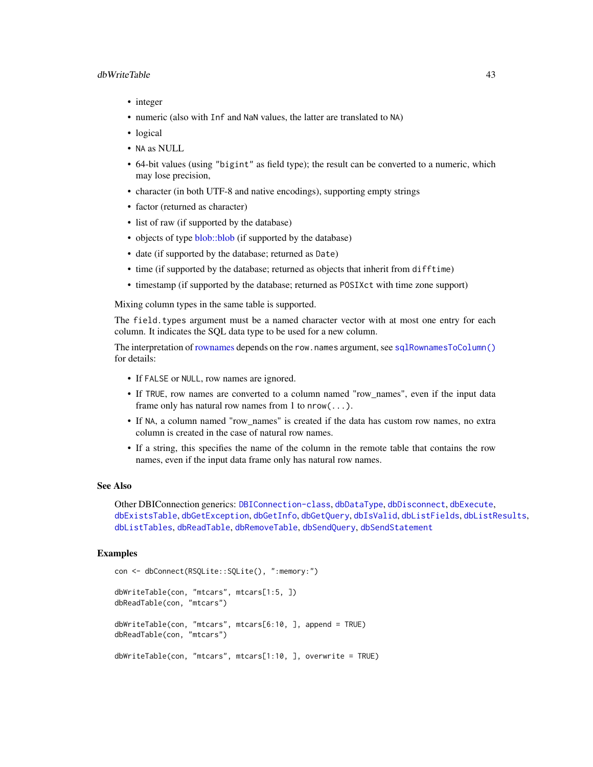## <span id="page-42-0"></span>dbWriteTable 43

- integer
- numeric (also with Inf and NaN values, the latter are translated to NA)
- logical
- NA as NULL
- 64-bit values (using "bigint" as field type); the result can be converted to a numeric, which may lose precision,
- character (in both UTF-8 and native encodings), supporting empty strings
- factor (returned as character)
- list of raw (if supported by the database)
- objects of type [blob::blob](#page-0-0) (if supported by the database)
- date (if supported by the database; returned as Date)
- time (if supported by the database; returned as objects that inherit from difftime)
- timestamp (if supported by the database; returned as POSIXct with time zone support)

Mixing column types in the same table is supported.

The field.types argument must be a named character vector with at most one entry for each column. It indicates the SQL data type to be used for a new column.

The interpretation of [rownames](#page-44-1) depends on the row.names argument, see [sqlRownamesToColumn\(\)](#page-44-2) for details:

- If FALSE or NULL, row names are ignored.
- If TRUE, row names are converted to a column named "row\_names", even if the input data frame only has natural row names from 1 to  $nrow(...)$ .
- If NA, a column named "row\_names" is created if the data has custom row names, no extra column is created in the case of natural row names.
- If a string, this specifies the name of the column in the remote table that contains the row names, even if the input data frame only has natural row names.

#### See Also

Other DBIConnection generics: [DBIConnection-class](#page-24-1), [dbDataType](#page-8-1), [dbDisconnect](#page-10-1), [dbExecute](#page-12-1), [dbExistsTable](#page-13-1), [dbGetException](#page-17-2), [dbGetInfo](#page-17-1), [dbGetQuery](#page-18-1), [dbIsValid](#page-26-2), [dbListFields](#page-28-2), [dbListResults](#page-29-1), [dbListTables](#page-30-1), [dbReadTable](#page-33-1), [dbRemoveTable](#page-35-1), [dbSendQuery](#page-36-1), [dbSendStatement](#page-37-1)

#### Examples

```
con <- dbConnect(RSQLite::SQLite(), ":memory:")
dbWriteTable(con, "mtcars", mtcars[1:5, ])
dbReadTable(con, "mtcars")
dbWriteTable(con, "mtcars", mtcars[6:10, ], append = TRUE)
dbReadTable(con, "mtcars")
dbWriteTable(con, "mtcars", mtcars[1:10, ], overwrite = TRUE)
```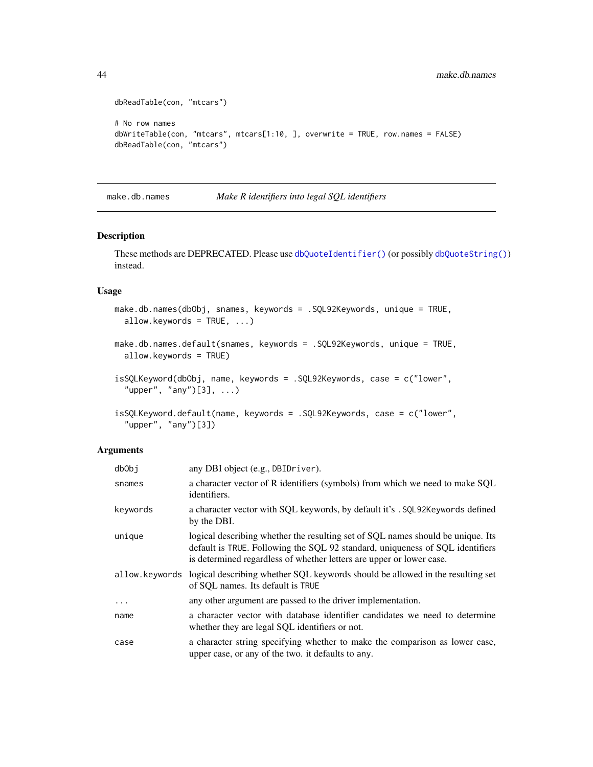```
dbReadTable(con, "mtcars")
# No row names
dbWriteTable(con, "mtcars", mtcars[1:10, ], overwrite = TRUE, row.names = FALSE)
dbReadTable(con, "mtcars")
```

```
make.db.names Make R identifiers into legal SQL identifiers
```
These methods are DEPRECATED. Please use [dbQuoteIdentifier\(\)](#page-31-1) (or possibly [dbQuoteString\(\)](#page-32-1)) instead.

## Usage

```
make.db.names(dbObj, snames, keywords = .SQL92Keywords, unique = TRUE,
  allow.keywords = TRUE, ...)
```

```
make.db.names.default(snames, keywords = .SQL92Keywords, unique = TRUE,
  allow.keywords = TRUE)
```

```
isSQLKeyword(dbObj, name, keywords = .SQL92Keywords, case = c("lower",
  "upper", "any")[3], ...)
```

```
isSQLKeyword.default(name, keywords = .SQL92Keywords, case = c("lower",
  "upper", "any")[3])
```

| dbObj    | any DBI object (e.g., DBIDriver).                                                                                                                                                                                                        |
|----------|------------------------------------------------------------------------------------------------------------------------------------------------------------------------------------------------------------------------------------------|
| snames   | a character vector of R identifiers (symbols) from which we need to make SQL<br>identifiers.                                                                                                                                             |
| keywords | a character vector with SQL keywords, by default it's . SQL92Keywords defined<br>by the DBI.                                                                                                                                             |
| unique   | logical describing whether the resulting set of SQL names should be unique. Its<br>default is TRUE. Following the SQL 92 standard, uniqueness of SQL identifiers<br>is determined regardless of whether letters are upper or lower case. |
|          | allow. keywords logical describing whether SQL keywords should be allowed in the resulting set<br>of SQL names. Its default is TRUE                                                                                                      |
| $\ddots$ | any other argument are passed to the driver implementation.                                                                                                                                                                              |
| name     | a character vector with database identifier candidates we need to determine<br>whether they are legal SQL identifiers or not.                                                                                                            |
| case     | a character string specifying whether to make the comparison as lower case,<br>upper case, or any of the two. it defaults to any.                                                                                                        |

<span id="page-43-0"></span>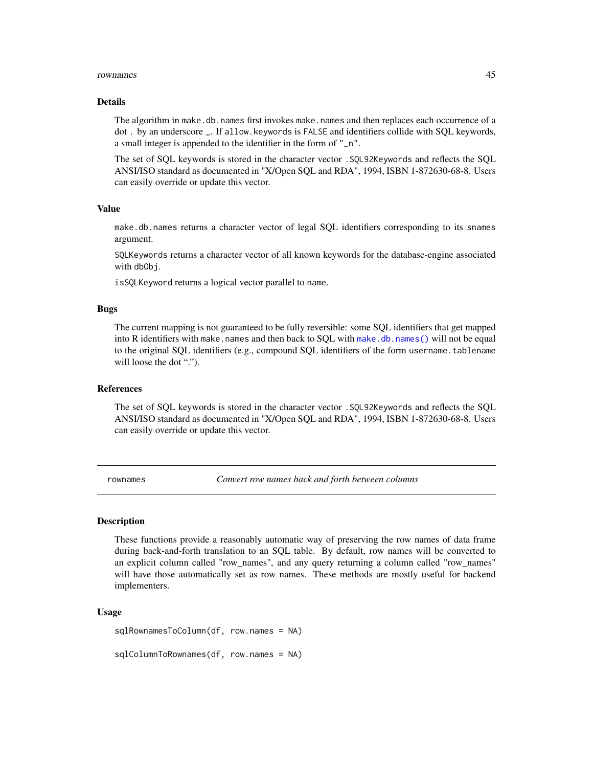#### <span id="page-44-0"></span>rownames 45

### Details

The algorithm in make.db.names first invokes make.names and then replaces each occurrence of a dot . by an underscore \_. If allow.keywords is FALSE and identifiers collide with SQL keywords, a small integer is appended to the identifier in the form of "\_n".

The set of SQL keywords is stored in the character vector .SQL92Keywords and reflects the SQL ANSI/ISO standard as documented in "X/Open SQL and RDA", 1994, ISBN 1-872630-68-8. Users can easily override or update this vector.

## Value

make.db.names returns a character vector of legal SQL identifiers corresponding to its snames argument.

SQLKeywords returns a character vector of all known keywords for the database-engine associated with db<sub>Obj</sub>.

isSQLKeyword returns a logical vector parallel to name.

## Bugs

The current mapping is not guaranteed to be fully reversible: some SQL identifiers that get mapped into R identifiers with make.names and then back to SQL with [make.db.names\(\)](#page-43-1) will not be equal to the original SQL identifiers (e.g., compound SQL identifiers of the form username.tablename will loose the dot ".").

## References

The set of SQL keywords is stored in the character vector .SQL92Keywords and reflects the SQL ANSI/ISO standard as documented in "X/Open SQL and RDA", 1994, ISBN 1-872630-68-8. Users can easily override or update this vector.

<span id="page-44-1"></span>rownames *Convert row names back and forth between columns*

## <span id="page-44-2"></span>Description

These functions provide a reasonably automatic way of preserving the row names of data frame during back-and-forth translation to an SQL table. By default, row names will be converted to an explicit column called "row\_names", and any query returning a column called "row\_names" will have those automatically set as row names. These methods are mostly useful for backend implementers.

## Usage

sqlRownamesToColumn(df, row.names = NA)

sqlColumnToRownames(df, row.names = NA)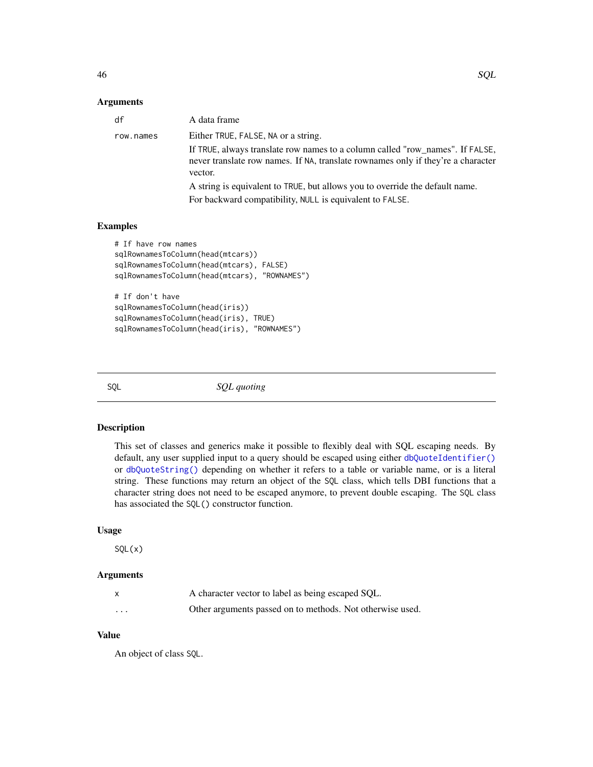## <span id="page-45-0"></span>**Arguments**

| df        | A data frame                                                                                                                                                                 |
|-----------|------------------------------------------------------------------------------------------------------------------------------------------------------------------------------|
| row.names | Either TRUE, FALSE, NA or a string.                                                                                                                                          |
|           | If TRUE, always translate row names to a column called "row_names". If FALSE,<br>never translate row names. If NA, translate rownames only if they're a character<br>vector. |
|           | A string is equivalent to TRUE, but allows you to override the default name.                                                                                                 |
|           | For backward compatibility, NULL is equivalent to FALSE.                                                                                                                     |
|           |                                                                                                                                                                              |

## Examples

```
# If have row names
sqlRownamesToColumn(head(mtcars))
sqlRownamesToColumn(head(mtcars), FALSE)
sqlRownamesToColumn(head(mtcars), "ROWNAMES")
# If don't have
sqlRownamesToColumn(head(iris))
sqlRownamesToColumn(head(iris), TRUE)
sqlRownamesToColumn(head(iris), "ROWNAMES")
```
<span id="page-45-1"></span>

SQL *SQL quoting*

## Description

This set of classes and generics make it possible to flexibly deal with SQL escaping needs. By default, any user supplied input to a query should be escaped using either [dbQuoteIdentifier\(\)](#page-31-1) or [dbQuoteString\(\)](#page-32-1) depending on whether it refers to a table or variable name, or is a literal string. These functions may return an object of the SQL class, which tells DBI functions that a character string does not need to be escaped anymore, to prevent double escaping. The SQL class has associated the SQL() constructor function.

## Usage

 $SQL(x)$ 

## Arguments

|                         | A character vector to label as being escaped SQL.         |
|-------------------------|-----------------------------------------------------------|
| $\cdot$ $\cdot$ $\cdot$ | Other arguments passed on to methods. Not otherwise used. |

## Value

An object of class SQL.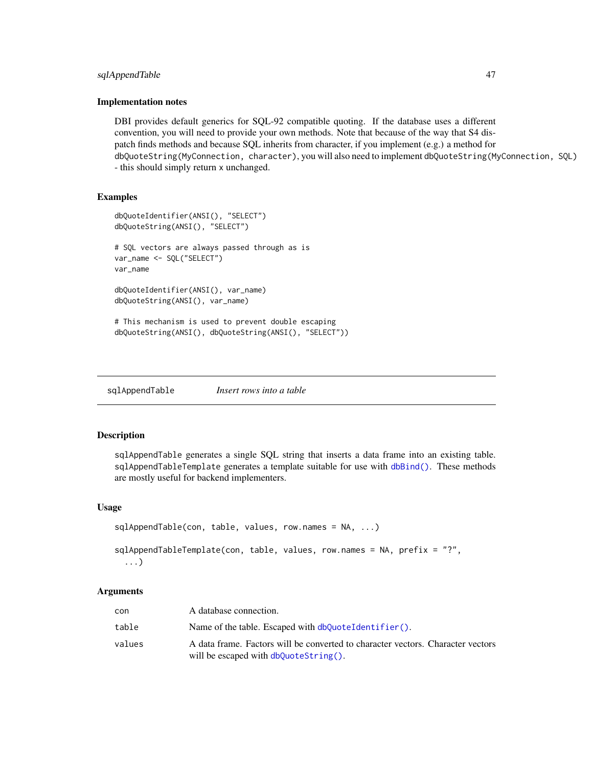## <span id="page-46-0"></span>sqlAppendTable 47

#### Implementation notes

DBI provides default generics for SQL-92 compatible quoting. If the database uses a different convention, you will need to provide your own methods. Note that because of the way that S4 dispatch finds methods and because SQL inherits from character, if you implement (e.g.) a method for dbQuoteString(MyConnection, character), you will also need to implement dbQuoteString(MyConnection, SQL) - this should simply return x unchanged.

## Examples

```
dbQuoteIdentifier(ANSI(), "SELECT")
dbQuoteString(ANSI(), "SELECT")
# SQL vectors are always passed through as is
var_name <- SQL("SELECT")
var_name
dbQuoteIdentifier(ANSI(), var_name)
dbQuoteString(ANSI(), var_name)
# This mechanism is used to prevent double escaping
dbQuoteString(ANSI(), dbQuoteString(ANSI(), "SELECT"))
```
sqlAppendTable *Insert rows into a table*

## Description

sqlAppendTable generates a single SQL string that inserts a data frame into an existing table. sqlAppendTableTemplate generates a template suitable for use with [dbBind\(\)](#page-3-1). These methods are mostly useful for backend implementers.

## Usage

```
sqlAppendTable(con, table, values, row.names = NA, ...)
sqlAppendTableTemplate(con, table, values, row.names = NA, prefix = "?",
  ...)
```

| con    | A database connection.                                                                                                   |
|--------|--------------------------------------------------------------------------------------------------------------------------|
| table  | Name of the table. Escaped with $dbQuoteIdentifier()$ .                                                                  |
| values | A data frame. Factors will be converted to character vectors. Character vectors<br>will be escaped with dbQuoteString(). |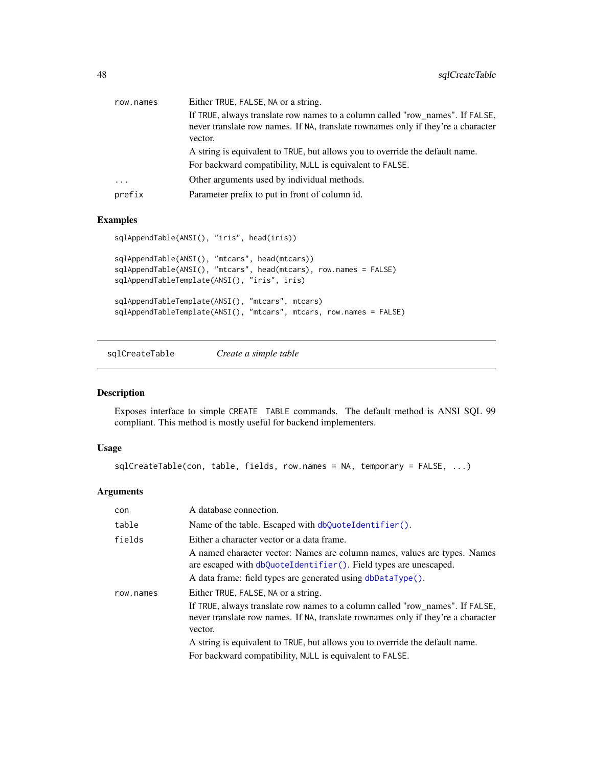<span id="page-47-0"></span>

| row.names               | Either TRUE, FALSE, NA or a string.                                                                                                                               |
|-------------------------|-------------------------------------------------------------------------------------------------------------------------------------------------------------------|
|                         | If TRUE, always translate row names to a column called "row_names". If FALSE,<br>never translate row names. If NA, translate rownames only if they're a character |
|                         | vector.                                                                                                                                                           |
|                         | A string is equivalent to TRUE, but allows you to override the default name.                                                                                      |
|                         | For backward compatibility, NULL is equivalent to FALSE.                                                                                                          |
| $\cdot$ $\cdot$ $\cdot$ | Other arguments used by individual methods.                                                                                                                       |
| prefix                  | Parameter prefix to put in front of column id.                                                                                                                    |

## Examples

```
sqlAppendTable(ANSI(), "iris", head(iris))
sqlAppendTable(ANSI(), "mtcars", head(mtcars))
sqlAppendTable(ANSI(), "mtcars", head(mtcars), row.names = FALSE)
sqlAppendTableTemplate(ANSI(), "iris", iris)
sqlAppendTableTemplate(ANSI(), "mtcars", mtcars)
sqlAppendTableTemplate(ANSI(), "mtcars", mtcars, row.names = FALSE)
```
sqlCreateTable *Create a simple table*

## Description

Exposes interface to simple CREATE TABLE commands. The default method is ANSI SQL 99 compliant. This method is mostly useful for backend implementers.

## Usage

```
sqlCreateTable(con, table, fields, row.names = NA, temporary = FALSE, ...)
```

| con       | A database connection.                                                                                                                                                                                                                                                                                                                                          |
|-----------|-----------------------------------------------------------------------------------------------------------------------------------------------------------------------------------------------------------------------------------------------------------------------------------------------------------------------------------------------------------------|
| table     | Name of the table. Escaped with dbQuoteIdentifier().                                                                                                                                                                                                                                                                                                            |
| fields    | Either a character vector or a data frame.<br>A named character vector: Names are column names, values are types. Names<br>are escaped with dbQuoteIdentifier(). Field types are unescaped.<br>A data frame: field types are generated using dbDataType().                                                                                                      |
| row.names | Either TRUE, FALSE, NA or a string.<br>If TRUE, always translate row names to a column called "row_names". If FALSE,<br>never translate row names. If NA, translate rownames only if they're a character<br>vector.<br>A string is equivalent to TRUE, but allows you to override the default name.<br>For backward compatibility, NULL is equivalent to FALSE. |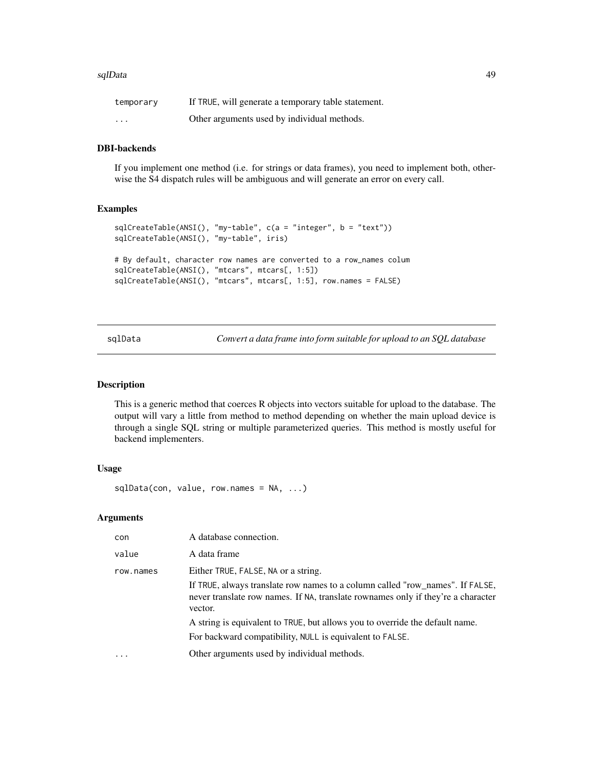#### <span id="page-48-0"></span>sqlData 49

| temporary               | If TRUE, will generate a temporary table statement. |
|-------------------------|-----------------------------------------------------|
| $\cdot$ $\cdot$ $\cdot$ | Other arguments used by individual methods.         |

## DBI-backends

If you implement one method (i.e. for strings or data frames), you need to implement both, otherwise the S4 dispatch rules will be ambiguous and will generate an error on every call.

## Examples

```
sqlCreateTable(ANSI(), "my-table", c(a = "integer", b = "text"))
sqlCreateTable(ANSI(), "my-table", iris)
# By default, character row names are converted to a row_names colum
sqlCreateTable(ANSI(), "mtcars", mtcars[, 1:5])
sqlCreateTable(ANSI(), "mtcars", mtcars[, 1:5], row.names = FALSE)
```
sqlData *Convert a data frame into form suitable for upload to an SQL database*

## Description

This is a generic method that coerces R objects into vectors suitable for upload to the database. The output will vary a little from method to method depending on whether the main upload device is through a single SQL string or multiple parameterized queries. This method is mostly useful for backend implementers.

## Usage

```
sqlData(con, value, row.names = NA, ...)
```

| con       | A database connection.                                                                                                                                                       |
|-----------|------------------------------------------------------------------------------------------------------------------------------------------------------------------------------|
| value     | A data frame                                                                                                                                                                 |
| row.names | Either TRUE, FALSE, NA or a string.                                                                                                                                          |
|           | If TRUE, always translate row names to a column called "row_names". If FALSE,<br>never translate row names. If NA, translate rownames only if they're a character<br>vector. |
|           | A string is equivalent to TRUE, but allows you to override the default name.<br>For backward compatibility, NULL is equivalent to FALSE.                                     |
|           | Other arguments used by individual methods.                                                                                                                                  |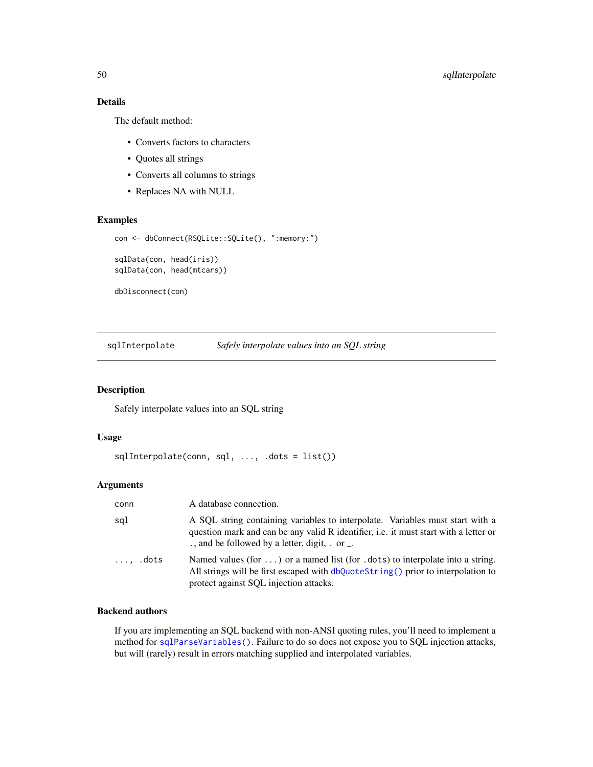## Details

The default method:

- Converts factors to characters
- Quotes all strings
- Converts all columns to strings
- Replaces NA with NULL

## Examples

```
con <- dbConnect(RSQLite::SQLite(), ":memory:")
sqlData(con, head(iris))
sqlData(con, head(mtcars))
```
dbDisconnect(con)

sqlInterpolate *Safely interpolate values into an SQL string*

## Description

Safely interpolate values into an SQL string

## Usage

```
sqlInterpolate(conn, sql, ..., .dots = list())
```
## Arguments

| conn             | A database connection.                                                                                                                                                                                                         |
|------------------|--------------------------------------------------------------------------------------------------------------------------------------------------------------------------------------------------------------------------------|
| sgl              | A SQL string containing variables to interpolate. Variables must start with a<br>question mark and can be any valid R identifier, <i>i.e.</i> it must start with a letter or<br>., and be followed by a letter, digit, . or _. |
| $\ldots$ , .dots | Named values (for ) or a named list (for .dots) to interpolate into a string.<br>All strings will be first escaped with $dbQuoteString()$ prior to interpolation to<br>protect against SQL injection attacks.                  |

## Backend authors

If you are implementing an SQL backend with non-ANSI quoting rules, you'll need to implement a method for [sqlParseVariables\(\)](#page-0-0). Failure to do so does not expose you to SQL injection attacks, but will (rarely) result in errors matching supplied and interpolated variables.

<span id="page-49-0"></span>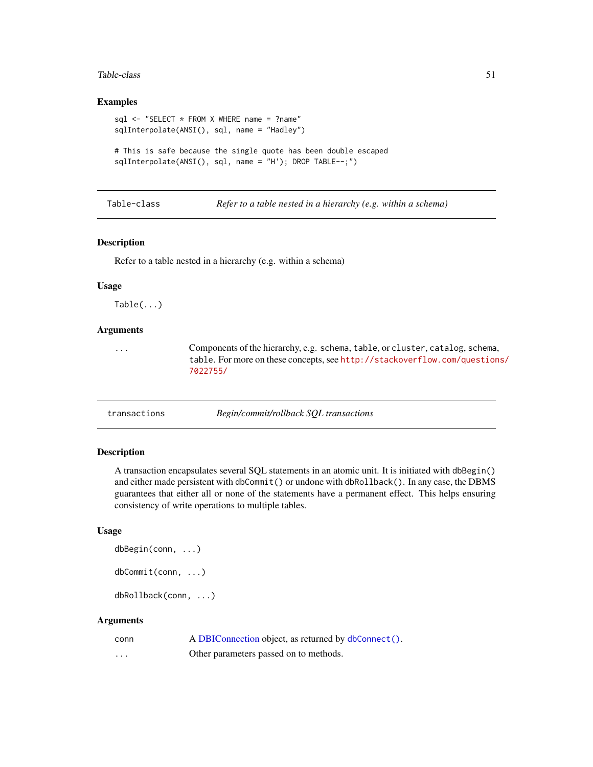#### <span id="page-50-0"></span>Table-class 51

## Examples

```
sql <- "SELECT * FROM X WHERE name = ?name"
sqlInterpolate(ANSI(), sql, name = "Hadley")
```

```
# This is safe because the single quote has been double escaped
sqlInterpolate(ANSI(), sql, name = "H'); DROP TABLE--;")
```
Table-class *Refer to a table nested in a hierarchy (e.g. within a schema)*

#### Description

Refer to a table nested in a hierarchy (e.g. within a schema)

#### Usage

Table(...)

## Arguments

... Components of the hierarchy, e.g. schema, table, or cluster, catalog, schema, table. For more on these concepts, see [http://stackoverflow.com/question](http://stackoverflow.com/questions/7022755/)s/ [7022755/](http://stackoverflow.com/questions/7022755/)

<span id="page-50-1"></span>transactions *Begin/commit/rollback SQL transactions*

## <span id="page-50-2"></span>Description

A transaction encapsulates several SQL statements in an atomic unit. It is initiated with dbBegin() and either made persistent with dbCommit() or undone with dbRollback(). In any case, the DBMS guarantees that either all or none of the statements have a permanent effect. This helps ensuring consistency of write operations to multiple tables.

#### Usage

dbBegin(conn, ...)

dbCommit(conn, ...)

dbRollback(conn, ...)

| conn | A DBIConnection object, as returned by dbConnect(). |
|------|-----------------------------------------------------|
| .    | Other parameters passed on to methods.              |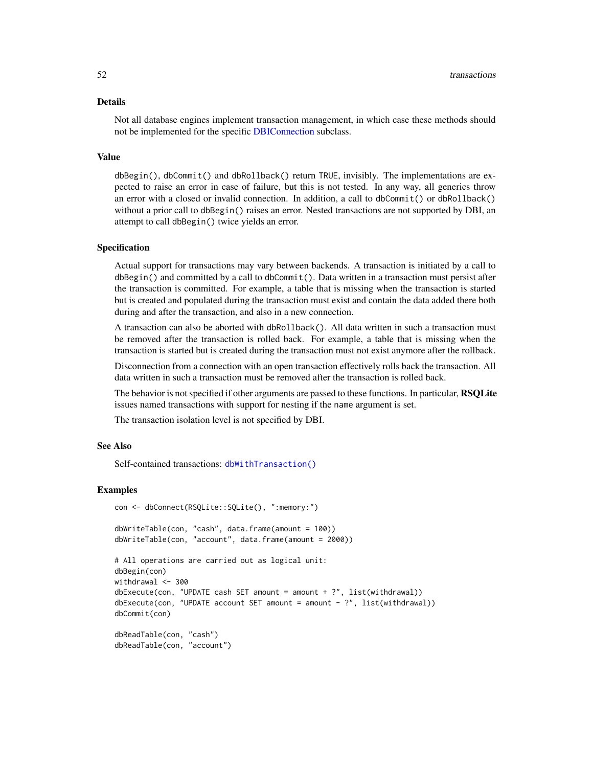#### <span id="page-51-0"></span>Details

Not all database engines implement transaction management, in which case these methods should not be implemented for the specific [DBIConnection](#page-24-1) subclass.

#### Value

dbBegin(), dbCommit() and dbRollback() return TRUE, invisibly. The implementations are expected to raise an error in case of failure, but this is not tested. In any way, all generics throw an error with a closed or invalid connection. In addition, a call to dbCommit() or dbRollback() without a prior call to dbBegin() raises an error. Nested transactions are not supported by DBI, an attempt to call dbBegin() twice yields an error.

#### Specification

Actual support for transactions may vary between backends. A transaction is initiated by a call to dbBegin() and committed by a call to dbCommit(). Data written in a transaction must persist after the transaction is committed. For example, a table that is missing when the transaction is started but is created and populated during the transaction must exist and contain the data added there both during and after the transaction, and also in a new connection.

A transaction can also be aborted with dbRollback(). All data written in such a transaction must be removed after the transaction is rolled back. For example, a table that is missing when the transaction is started but is created during the transaction must not exist anymore after the rollback.

Disconnection from a connection with an open transaction effectively rolls back the transaction. All data written in such a transaction must be removed after the transaction is rolled back.

The behavior is not specified if other arguments are passed to these functions. In particular, **RSQLite** issues named transactions with support for nesting if the name argument is set.

The transaction isolation level is not specified by DBI.

## See Also

Self-contained transactions: [dbWithTransaction\(\)](#page-38-1)

con <- dbConnect(RSQLite::SQLite(), ":memory:")

## Examples

```
dbWriteTable(con, "cash", data.frame(amount = 100))
dbWriteTable(con, "account", data.frame(amount = 2000))
# All operations are carried out as logical unit:
dbBegin(con)
withdrawal <- 300
dbExecute(con, "UPDATE cash SET amount = amount + ?", list(withthdrawal))dbExecute(con, "UPDATE account SET amount = amount - ?", list(withdrawal))dbCommit(con)
dbReadTable(con, "cash")
dbReadTable(con, "account")
```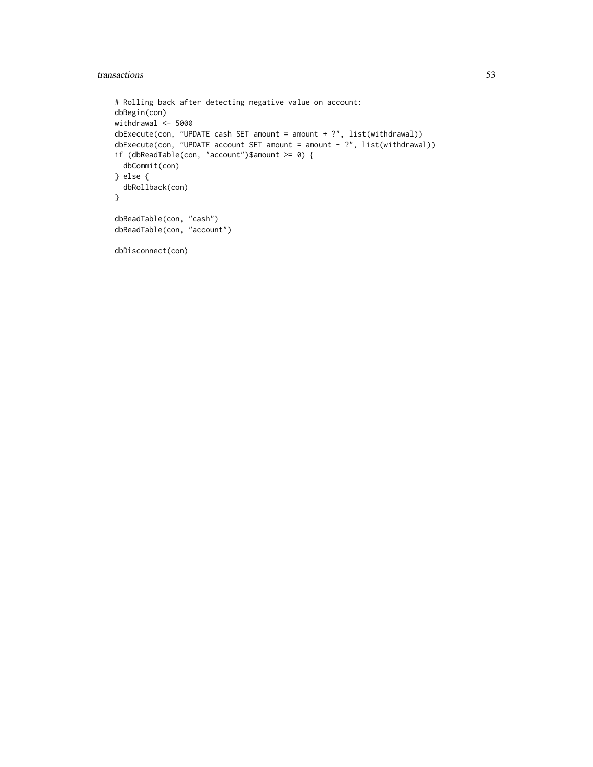## transactions 53

```
# Rolling back after detecting negative value on account:
dbBegin(con)
withdrawal <- 5000
dbExecute(con, "UPDATE cash SET amount = amount + ?", list(withdrawal))
dbExecute(con, "UPDATE account SET amount = amount - ?", list(withdrawal))
if (dbReadTable(con, "account")$amount >= 0) {
 dbCommit(con)
} else {
  dbRollback(con)
}
dbReadTable(con, "cash")
dbReadTable(con, "account")
dbDisconnect(con)
```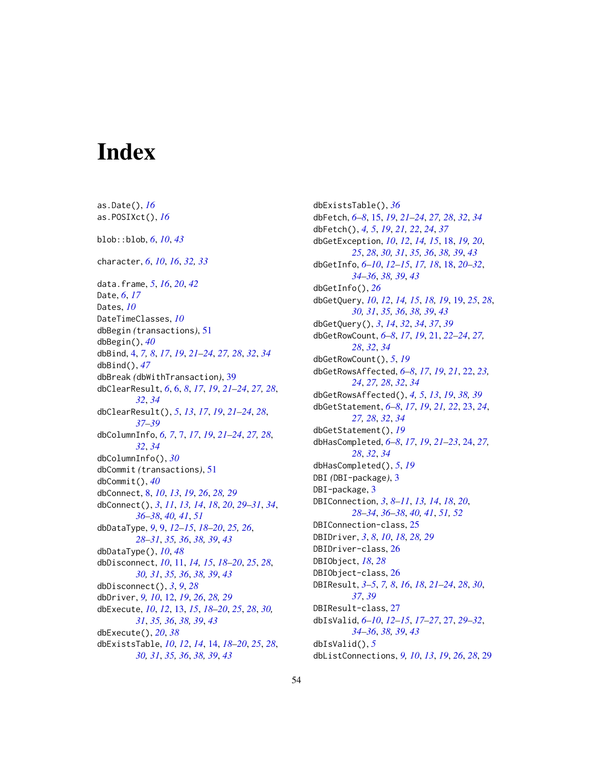# <span id="page-53-0"></span>**Index**

as.Date(), *[16](#page-15-0)* as.POSIXct(), *[16](#page-15-0)* blob::blob, *[6](#page-5-0)*, *[10](#page-9-0)*, *[43](#page-42-0)* character, *[6](#page-5-0)*, *[10](#page-9-0)*, *[16](#page-15-0)*, *[32,](#page-31-0) [33](#page-32-0)* data.frame, *[5](#page-4-0)*, *[16](#page-15-0)*, *[20](#page-19-0)*, *[42](#page-41-0)* Date, *[6](#page-5-0)*, *[17](#page-16-0)* Dates, *[10](#page-9-0)* DateTimeClasses, *[10](#page-9-0)* dbBegin *(*transactions*)*, [51](#page-50-0) dbBegin(), *[40](#page-39-0)* dbBind, [4,](#page-3-0) *[7,](#page-6-0) [8](#page-7-0)*, *[17](#page-16-0)*, *[19](#page-18-0)*, *[21–](#page-20-0)[24](#page-23-0)*, *[27,](#page-26-0) [28](#page-27-0)*, *[32](#page-31-0)*, *[34](#page-33-0)* dbBind(), *[47](#page-46-0)* dbBreak *(*dbWithTransaction*)*, [39](#page-38-0) dbClearResult, *[6](#page-5-0)*, [6,](#page-5-0) *[8](#page-7-0)*, *[17](#page-16-0)*, *[19](#page-18-0)*, *[21–](#page-20-0)[24](#page-23-0)*, *[27,](#page-26-0) [28](#page-27-0)*, *[32](#page-31-0)*, *[34](#page-33-0)* dbClearResult(), *[5](#page-4-0)*, *[13](#page-12-0)*, *[17](#page-16-0)*, *[19](#page-18-0)*, *[21–](#page-20-0)[24](#page-23-0)*, *[28](#page-27-0)*, *[37](#page-36-0)[–39](#page-38-0)* dbColumnInfo, *[6,](#page-5-0) [7](#page-6-0)*, [7,](#page-6-0) *[17](#page-16-0)*, *[19](#page-18-0)*, *[21–](#page-20-0)[24](#page-23-0)*, *[27,](#page-26-0) [28](#page-27-0)*, *[32](#page-31-0)*, *[34](#page-33-0)* dbColumnInfo(), *[30](#page-29-0)* dbCommit *(*transactions*)*, [51](#page-50-0) dbCommit(), *[40](#page-39-0)* dbConnect, [8,](#page-7-0) *[10](#page-9-0)*, *[13](#page-12-0)*, *[19](#page-18-0)*, *[26](#page-25-0)*, *[28,](#page-27-0) [29](#page-28-0)* dbConnect(), *[3](#page-2-0)*, *[11](#page-10-0)*, *[13,](#page-12-0) [14](#page-13-0)*, *[18](#page-17-0)*, *[20](#page-19-0)*, *[29–](#page-28-0)[31](#page-30-0)*, *[34](#page-33-0)*, *[36](#page-35-0)[–38](#page-37-0)*, *[40,](#page-39-0) [41](#page-40-0)*, *[51](#page-50-0)* dbDataType, *[9](#page-8-0)*, [9,](#page-8-0) *[12](#page-11-0)[–15](#page-14-0)*, *[18–](#page-17-0)[20](#page-19-0)*, *[25,](#page-24-0) [26](#page-25-0)*, *[28](#page-27-0)[–31](#page-30-0)*, *[35,](#page-34-0) [36](#page-35-0)*, *[38,](#page-37-0) [39](#page-38-0)*, *[43](#page-42-0)* dbDataType(), *[10](#page-9-0)*, *[48](#page-47-0)* dbDisconnect, *[10](#page-9-0)*, [11,](#page-10-0) *[14,](#page-13-0) [15](#page-14-0)*, *[18–](#page-17-0)[20](#page-19-0)*, *[25](#page-24-0)*, *[28](#page-27-0)*, *[30,](#page-29-0) [31](#page-30-0)*, *[35,](#page-34-0) [36](#page-35-0)*, *[38,](#page-37-0) [39](#page-38-0)*, *[43](#page-42-0)* dbDisconnect(), *[3](#page-2-0)*, *[9](#page-8-0)*, *[28](#page-27-0)* dbDriver, *[9,](#page-8-0) [10](#page-9-0)*, [12,](#page-11-0) *[19](#page-18-0)*, *[26](#page-25-0)*, *[28,](#page-27-0) [29](#page-28-0)* dbExecute, *[10](#page-9-0)*, *[12](#page-11-0)*, [13,](#page-12-0) *[15](#page-14-0)*, *[18–](#page-17-0)[20](#page-19-0)*, *[25](#page-24-0)*, *[28](#page-27-0)*, *[30,](#page-29-0) [31](#page-30-0)*, *[35,](#page-34-0) [36](#page-35-0)*, *[38,](#page-37-0) [39](#page-38-0)*, *[43](#page-42-0)* dbExecute(), *[20](#page-19-0)*, *[38](#page-37-0)* dbExistsTable, *[10](#page-9-0)*, *[12](#page-11-0)*, *[14](#page-13-0)*, [14,](#page-13-0) *[18–](#page-17-0)[20](#page-19-0)*, *[25](#page-24-0)*, *[28](#page-27-0)*, *[30,](#page-29-0) [31](#page-30-0)*, *[35,](#page-34-0) [36](#page-35-0)*, *[38,](#page-37-0) [39](#page-38-0)*, *[43](#page-42-0)*

dbExistsTable(), *[36](#page-35-0)* dbFetch, *[6](#page-5-0)[–8](#page-7-0)*, [15,](#page-14-0) *[19](#page-18-0)*, *[21](#page-20-0)[–24](#page-23-0)*, *[27,](#page-26-0) [28](#page-27-0)*, *[32](#page-31-0)*, *[34](#page-33-0)* dbFetch(), *[4,](#page-3-0) [5](#page-4-0)*, *[19](#page-18-0)*, *[21,](#page-20-0) [22](#page-21-0)*, *[24](#page-23-0)*, *[37](#page-36-0)* dbGetException, *[10](#page-9-0)*, *[12](#page-11-0)*, *[14,](#page-13-0) [15](#page-14-0)*, [18,](#page-17-0) *[19,](#page-18-0) [20](#page-19-0)*, *[25](#page-24-0)*, *[28](#page-27-0)*, *[30,](#page-29-0) [31](#page-30-0)*, *[35,](#page-34-0) [36](#page-35-0)*, *[38,](#page-37-0) [39](#page-38-0)*, *[43](#page-42-0)* dbGetInfo, *[6](#page-5-0)[–10](#page-9-0)*, *[12](#page-11-0)[–15](#page-14-0)*, *[17,](#page-16-0) [18](#page-17-0)*, [18,](#page-17-0) *[20](#page-19-0)[–32](#page-31-0)*, *[34](#page-33-0)[–36](#page-35-0)*, *[38,](#page-37-0) [39](#page-38-0)*, *[43](#page-42-0)* dbGetInfo(), *[26](#page-25-0)* dbGetQuery, *[10](#page-9-0)*, *[12](#page-11-0)*, *[14,](#page-13-0) [15](#page-14-0)*, *[18,](#page-17-0) [19](#page-18-0)*, [19,](#page-18-0) *[25](#page-24-0)*, *[28](#page-27-0)*, *[30,](#page-29-0) [31](#page-30-0)*, *[35,](#page-34-0) [36](#page-35-0)*, *[38,](#page-37-0) [39](#page-38-0)*, *[43](#page-42-0)* dbGetQuery(), *[3](#page-2-0)*, *[14](#page-13-0)*, *[32](#page-31-0)*, *[34](#page-33-0)*, *[37](#page-36-0)*, *[39](#page-38-0)* dbGetRowCount, *[6](#page-5-0)[–8](#page-7-0)*, *[17](#page-16-0)*, *[19](#page-18-0)*, [21,](#page-20-0) *[22](#page-21-0)[–24](#page-23-0)*, *[27,](#page-26-0) [28](#page-27-0)*, *[32](#page-31-0)*, *[34](#page-33-0)* dbGetRowCount(), *[5](#page-4-0)*, *[19](#page-18-0)* dbGetRowsAffected, *[6](#page-5-0)[–8](#page-7-0)*, *[17](#page-16-0)*, *[19](#page-18-0)*, *[21](#page-20-0)*, [22,](#page-21-0) *[23,](#page-22-0) [24](#page-23-0)*, *[27,](#page-26-0) [28](#page-27-0)*, *[32](#page-31-0)*, *[34](#page-33-0)* dbGetRowsAffected(), *[4,](#page-3-0) [5](#page-4-0)*, *[13](#page-12-0)*, *[19](#page-18-0)*, *[38,](#page-37-0) [39](#page-38-0)* dbGetStatement, *[6](#page-5-0)[–8](#page-7-0)*, *[17](#page-16-0)*, *[19](#page-18-0)*, *[21,](#page-20-0) [22](#page-21-0)*, [23,](#page-22-0) *[24](#page-23-0)*, *[27,](#page-26-0) [28](#page-27-0)*, *[32](#page-31-0)*, *[34](#page-33-0)* dbGetStatement(), *[19](#page-18-0)* dbHasCompleted, *[6](#page-5-0)[–8](#page-7-0)*, *[17](#page-16-0)*, *[19](#page-18-0)*, *[21](#page-20-0)[–23](#page-22-0)*, [24,](#page-23-0) *[27,](#page-26-0) [28](#page-27-0)*, *[32](#page-31-0)*, *[34](#page-33-0)* dbHasCompleted(), *[5](#page-4-0)*, *[19](#page-18-0)* DBI *(*DBI-package*)*, [3](#page-2-0) DBI-package, [3](#page-2-0) DBIConnection, *[3](#page-2-0)*, *[8](#page-7-0)[–11](#page-10-0)*, *[13,](#page-12-0) [14](#page-13-0)*, *[18](#page-17-0)*, *[20](#page-19-0)*, *[28](#page-27-0)[–34](#page-33-0)*, *[36](#page-35-0)[–38](#page-37-0)*, *[40,](#page-39-0) [41](#page-40-0)*, *[51,](#page-50-0) [52](#page-51-0)* DBIConnection-class, [25](#page-24-0) DBIDriver, *[3](#page-2-0)*, *[8](#page-7-0)*, *[10](#page-9-0)*, *[18](#page-17-0)*, *[28,](#page-27-0) [29](#page-28-0)* DBIDriver-class, [26](#page-25-0) DBIObject, *[18](#page-17-0)*, *[28](#page-27-0)* DBIObject-class, [26](#page-25-0) DBIResult, *[3](#page-2-0)[–5](#page-4-0)*, *[7,](#page-6-0) [8](#page-7-0)*, *[16](#page-15-0)*, *[18](#page-17-0)*, *[21](#page-20-0)[–24](#page-23-0)*, *[28](#page-27-0)*, *[30](#page-29-0)*, *[37](#page-36-0)*, *[39](#page-38-0)* DBIResult-class, [27](#page-26-0) dbIsValid, *[6](#page-5-0)[–10](#page-9-0)*, *[12](#page-11-0)[–15](#page-14-0)*, *[17](#page-16-0)[–27](#page-26-0)*, [27,](#page-26-0) *[29](#page-28-0)[–32](#page-31-0)*, *[34](#page-33-0)[–36](#page-35-0)*, *[38,](#page-37-0) [39](#page-38-0)*, *[43](#page-42-0)* dbIsValid(), *[5](#page-4-0)* dbListConnections, *[9,](#page-8-0) [10](#page-9-0)*, *[13](#page-12-0)*, *[19](#page-18-0)*, *[26](#page-25-0)*, *[28](#page-27-0)*, [29](#page-28-0)